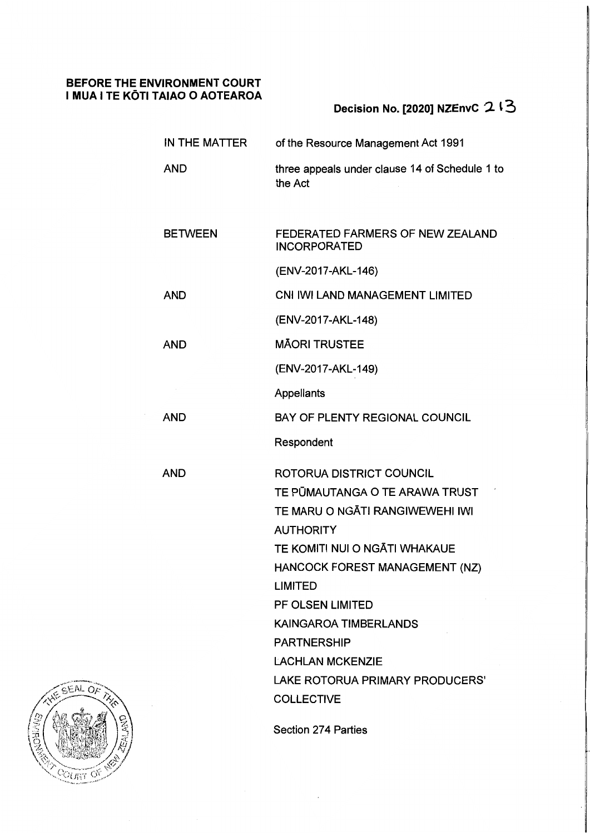# **BEFORE THE ENVIRONMENT COURT**  I **MUA I TE KOTI TAIAO O AOTEAROA**

# **Decision No. [2020] NZEnvC '2 t 3**

| IN THE MATTER  | of the Resource Management Act 1991                                                                                                                                                                                                                                                                                                                                 |
|----------------|---------------------------------------------------------------------------------------------------------------------------------------------------------------------------------------------------------------------------------------------------------------------------------------------------------------------------------------------------------------------|
| <b>AND</b>     | three appeals under clause 14 of Schedule 1 to<br>the Act                                                                                                                                                                                                                                                                                                           |
|                |                                                                                                                                                                                                                                                                                                                                                                     |
| <b>BETWEEN</b> | FEDERATED FARMERS OF NEW ZEALAND<br><b>INCORPORATED</b>                                                                                                                                                                                                                                                                                                             |
|                | (ENV-2017-AKL-146)                                                                                                                                                                                                                                                                                                                                                  |
| <b>AND</b>     | CNI IWI LAND MANAGEMENT LIMITED                                                                                                                                                                                                                                                                                                                                     |
|                | (ENV-2017-AKL-148)                                                                                                                                                                                                                                                                                                                                                  |
| <b>AND</b>     | <b>MĀORI TRUSTEE</b>                                                                                                                                                                                                                                                                                                                                                |
|                | (ENV-2017-AKL-149)                                                                                                                                                                                                                                                                                                                                                  |
|                | Appellants                                                                                                                                                                                                                                                                                                                                                          |
| <b>AND</b>     | BAY OF PLENTY REGIONAL COUNCIL                                                                                                                                                                                                                                                                                                                                      |
|                | Respondent                                                                                                                                                                                                                                                                                                                                                          |
| <b>AND</b>     | ROTORUA DISTRICT COUNCIL<br>TE PŪMAUTANGA O TE ARAWA TRUST<br>TE MARU O NGĀTI RANGIWEWEHI IWI<br><b>AUTHORITY</b><br>TE KOMITI NUI O NGĀTI WHAKAUE<br>HANCOCK FOREST MANAGEMENT (NZ)<br><b>LIMITED</b><br>PF OLSEN LIMITED<br><b>KAINGAROA TIMBERLANDS</b><br><b>PARTNERSHIP</b><br><b>LACHLAN MCKENZIE</b><br>LAKE ROTORUA PRIMARY PRODUCERS'<br><b>COLLECTIVE</b> |
|                | <b>Section 274 Parties</b>                                                                                                                                                                                                                                                                                                                                          |

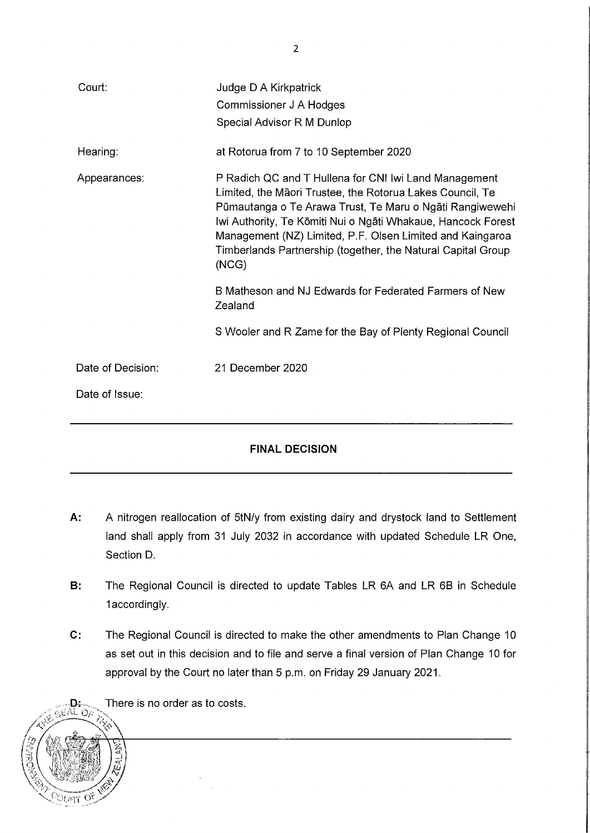| Court:            | Judge D A Kirkpatrick                                                                                                                                                                                                                                                                                                                                                                |  |
|-------------------|--------------------------------------------------------------------------------------------------------------------------------------------------------------------------------------------------------------------------------------------------------------------------------------------------------------------------------------------------------------------------------------|--|
|                   | Commissioner J A Hodges                                                                                                                                                                                                                                                                                                                                                              |  |
|                   | Special Advisor R M Dunlop                                                                                                                                                                                                                                                                                                                                                           |  |
| Hearing:          | at Rotorua from 7 to 10 September 2020                                                                                                                                                                                                                                                                                                                                               |  |
| Appearances:      | P Radich QC and T Hullena for CNI Iwi Land Management<br>Limited, the Māori Trustee, the Rotorua Lakes Council, Te<br>Pümautanga o Te Arawa Trust, Te Maru o Ngāti Rangiwewehi<br>Iwi Authority, Te Kōmiti Nui o Ngāti Whakaue, Hancock Forest<br>Management (NZ) Limited, P.F. Olsen Limited and Kaingaroa<br>Timberlands Partnership (together, the Natural Capital Group<br>(NCG) |  |
|                   | B Matheson and NJ Edwards for Federated Farmers of New<br>Zealand                                                                                                                                                                                                                                                                                                                    |  |
|                   | S Wooler and R Zame for the Bay of Plenty Regional Council                                                                                                                                                                                                                                                                                                                           |  |
| Date of Decision: | 21 December 2020                                                                                                                                                                                                                                                                                                                                                                     |  |
| Date of Issue:    |                                                                                                                                                                                                                                                                                                                                                                                      |  |
|                   |                                                                                                                                                                                                                                                                                                                                                                                      |  |

# **FINAL DECISION**

- **A:** A nitrogen reallocation of 5tN/y from existing dairy and drystock land to Settlement land shall apply from 31 July 2032 in accordance with updated Schedule LR One, Section D.
- **B:** The Regional Council is directed to update Tables LR 6A and LR 6B in Schedule 1 accordingly.
- **C:** The Regional Council is directed to make the other amendments to Plan Change 10 as set out in this decision and to file and serve a final version of Plan Change 10 for approval by the Court no later than 5 p.m. on Friday 29 January 2021.



2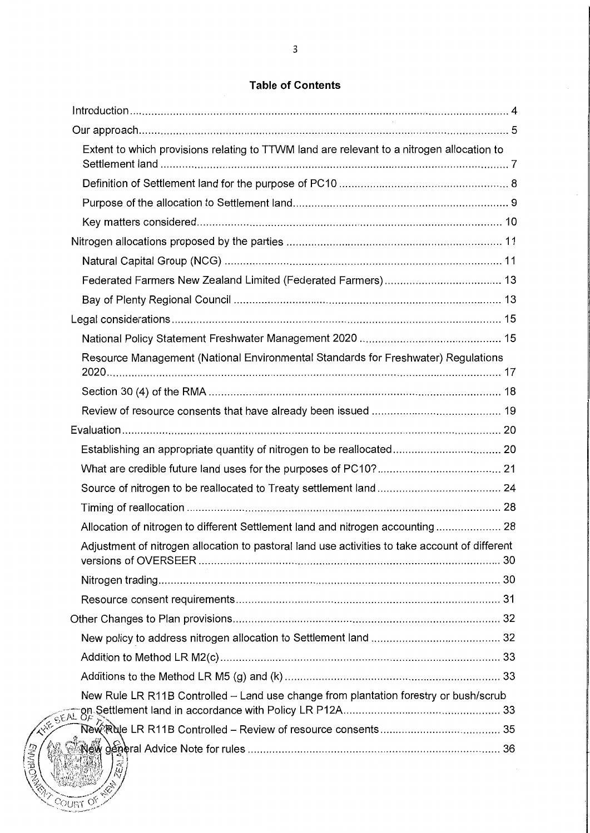# **Table of Contents**

| Extent to which provisions relating to TTWM land are relevant to a nitrogen allocation to      |  |
|------------------------------------------------------------------------------------------------|--|
|                                                                                                |  |
|                                                                                                |  |
|                                                                                                |  |
|                                                                                                |  |
|                                                                                                |  |
|                                                                                                |  |
|                                                                                                |  |
|                                                                                                |  |
|                                                                                                |  |
| Resource Management (National Environmental Standards for Freshwater) Regulations              |  |
|                                                                                                |  |
|                                                                                                |  |
|                                                                                                |  |
|                                                                                                |  |
|                                                                                                |  |
|                                                                                                |  |
|                                                                                                |  |
| Allocation of nitrogen to different Settlement land and nitrogen accounting 28                 |  |
| Adjustment of nitrogen allocation to pastoral land use activities to take account of different |  |
|                                                                                                |  |
|                                                                                                |  |
|                                                                                                |  |
|                                                                                                |  |
|                                                                                                |  |
|                                                                                                |  |
|                                                                                                |  |
|                                                                                                |  |
| Einrecht                                                                                       |  |

**COURT OF**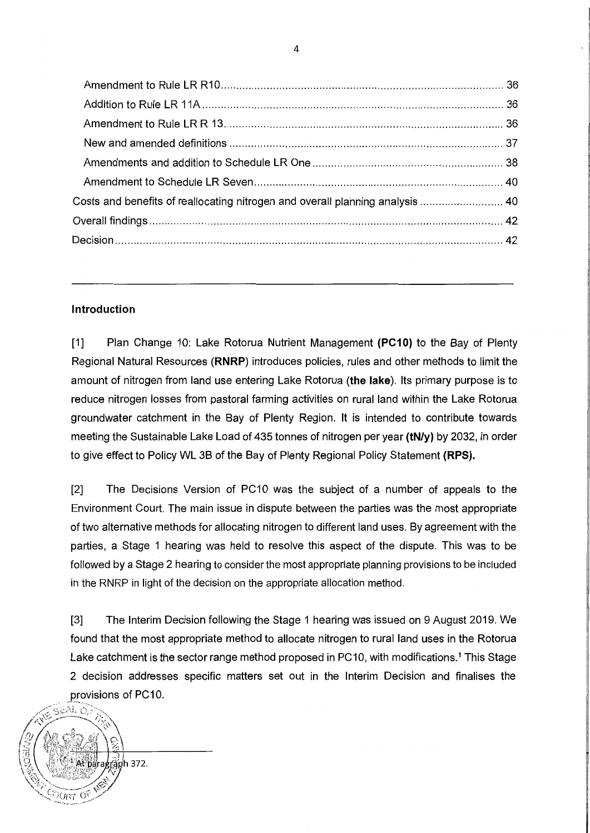| Costs and benefits of reallocating nitrogen and overall planning analysis  40 |  |
|-------------------------------------------------------------------------------|--|
|                                                                               |  |
|                                                                               |  |
|                                                                               |  |

## **Introduction**

[1] Plan Change 10: Lake Rotorua Nutrient Management **(PC10)** to the Bay of Plenty Regional Natural Resources **(RNRP)** introduces policies, rules and other methods to limit the amount of nitrogen from land use entering Lake Rotorua **(the lake).** Its primary purpose is to reduce nitrogen losses from pastoral farming activities on rural land within the Lake Rotorua groundwater catchment in the Bay of Plenty Region. It is intended to contribute towards meeting the Sustainable Lake Load of 435 tonnes of nitrogen per year **(tN/y)** by 2032, in order to give effect to Policy WL 38 of the Bay of Plenty Regional Policy Statement **(RPS).** 

[2] The Decisions Version of PC10 was the subject of a number of appeals to the Environment Court. The main issue in dispute between the parties was the most appropriate of two alternative methods for allocating nitrogen to different land uses. By agreement with the parties, a Stage 1 hearing was held to resolve this aspect of the dispute. This was to be followed by a Stage 2 hearing to consider the most appropriate planning provisions to be included in the RNRP in light of the decision on the appropriate allocation method.

[3] The Interim Decision following the Stage 1 hearing was issued on 9 August 2019. We found that the most appropriate method to allocate nitrogen to rural land uses in the Rotorua Lake catchment is the sector range method proposed in PC10, with modifications.<sup>1</sup> This Stage 2 decision addresses specific matters set out in the Interim Decision and finalises the provisions of PC10.

 $\mathscr{D}(\mathbb{R}^{S^{\text{SAL}}\odot})$ /<br>3 . •.. *-/.1'-,c,,---i/21.'* ?'.,, <sup>I</sup> raph 372.  $\rm \circlearrowright\circlearrowright\circlearrowleft\circlearrowleft$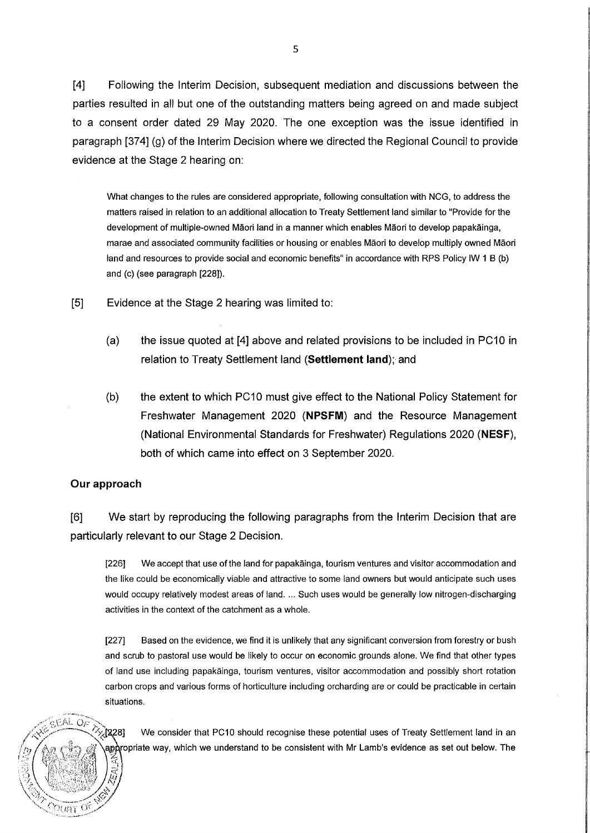[4] Following the Interim Decision, subsequent mediation and discussions between the parties resulted in all but one of the outstanding matters being agreed on and made subject to a consent order dated 29 May 2020. The one exception was the issue identified in paragraph [374] (g) of the Interim Decision where we directed the Regional Council to provide evidence at the Stage 2 hearing on:

What changes to the rules are considered appropriate, following consultation with NCG, to address the matters raised in relation to an additional allocation to Treaty Settlement land similar to "Provide for the development of multiple-owned Maori land in a manner which enables Maori to develop papakainga, marae and associated community facilities or housing or enables Maori to develop multiply owned Maori land and resources to provide social and economic benefits" in accordance with RPS Policy IW 1 B (b) and (c) (see paragraph [228)).

[5] Evidence at the Stage 2 hearing was limited to:

- (a) the issue quoted at [4] above and related provisions to be included in PC10 in relation to Treaty Settlement land **(Settlement land);·** and
- (b) the extent to which PC10 must give effect to the National Policy Statement for Freshwater Management 2020 **(NPSFM)** and the Resource Management (National Environmental Standards for Freshwater) Regulations 2020 **(NESF),**  both of which came into effect on 3 September 2020.

### **Our approach**

 $\sigma$  +  $\sim$   $\sim$ 

11)<br>V *:,i* 

 $\left\langle \left\langle \right\rangle \right\rangle$ 

 $\gamma_{\ell,\mathrm{FFT}}$   $\mathrm{C}^{\mathrm{c}}$ 

[6] We start by reproducing the following paragraphs from the Interim Decision that are particularly relevant to our Stage 2 Decision.

[226] We accept that use of the land for papakainga, tourism ventures and visitor accommodation and the like could be economically viable and attractive to some land owners but would anticipate such uses would occupy relatively modest areas of land. ... Such uses would be generally low nitrogen-discharging activities in the context of the catchment as a whole.

[227] Based on the evidence, we find it is unlikely that any significant conversion from forestry or bush and scrub to pastoral use would be likely to occur on economic grounds alone. We find that other types of land use including papakainga, tourism ventures, visitor accommodation and possibly short rotation carbon crops and various forms of horticulture including orcharding are or could be practicable in certain situations .

O<sup>p</sup> 2, [228] We consider that PC10 should recognise these potential uses of Treaty Settlement land in an aporopriate way, which we understand to be consistent with Mr Lamb's evidence as set out below. The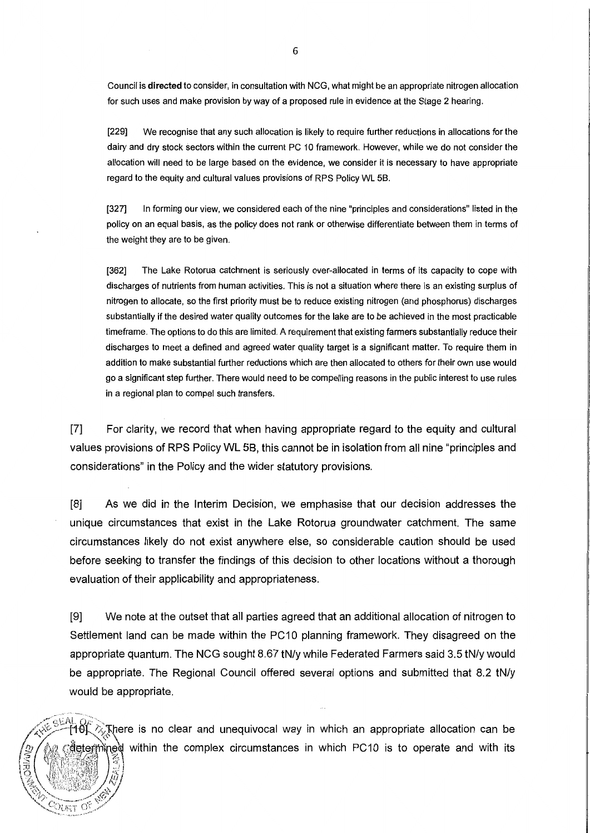Council is **directed** to consider, in consultation with NCG, what might be an appropriate nitrogen allocation for such uses and make provision by way of a proposed rule in evidence at the Stage 2 hearing.

[229] We recognise that any such allocation is likely to require further reductions in allocations for the dairy and dry stock sectors within the current PC 10 framework. However, while we do not consider the allocation will need to be large based on the evidence, we consider it is necessary to have appropriate regard to the equity and cultural values provisions of RPS Policy WL 58.

[327] In forming our view, we considered each of the nine "principles and considerations" listed in the policy on an equal basis, as the policy does not rank or otherwise differentiate between them in terms of the weight they are to be given.

[362] The Lake Rotorua catchment is seriously over-allocated in terms of its capacity to cope with discharges of nutrients from human activities. This is not a situation where there is an existing surplus of nitrogen to allocate, so the first priority must be to reduce existing nitrogen (and phosphorus) discharges substantially if the desired water quality outcomes for the lake are to be achieved in the most practicable timeframe. The options to do this are limited. A requirement that existing farmers substantially reduce their discharges to meet a defined and agreed water quality target is a significant matter. To require them in addition to make substantial further reductions which are then allocated to others for their own use would go a significant step further. There would need to be compelling reasons in the public interest to use rules in a regional plan to compel such transfers.

[7] For clarity, we record that when having appropriate regard to the equity and cultural values provisions of RPS Policy WL 58, this cannot be in isolation from all nine "principles and considerations" in the Policy and the wider statutory provisions.

[8] As we did in the Interim Decision, we emphasise that our decision addresses the unique circumstances that exist in the Lake Rotorua groundwater catchment. The same circumstances likely do not exist anywhere else, so considerable caution should be used before seeking to transfer the findings of this decision to other locations without a thorough evaluation of their applicability and appropriateness.

[9] We note at the outset that all parties agreed that an additional allocation of nitrogen to Settlement land can be made within the PC10 planning framework. They disagreed on the appropriate quantum. The NCG sought 8.67 tN/y while Federated Farmers said 3.5 tN/y would be appropriate. The Regional Council offered several options and submitted that 8.2 tN/y would be appropriate.

<sup>[4</sup>6]. 众, there is no clear and unequivocal way in which an appropriate allocation can be deterthined within the complex circumstances in which PC10 is to operate and with its

OURT O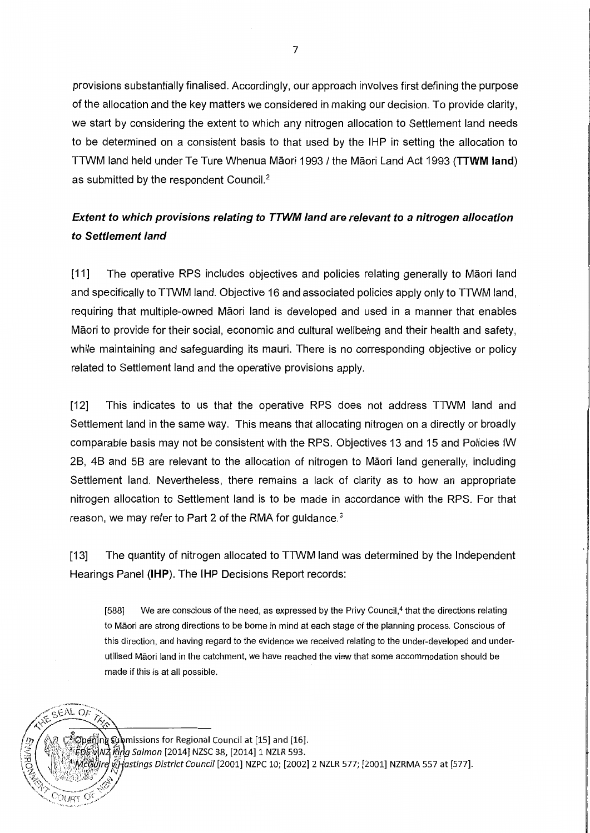provisions substantially finalised. Accordingly, our approach involves first defining the purpose of the allocation and the key matters we considered in making our decision. To provide clarity, we start by considering the extent to which any nitrogen allocation to Settlement land needs to be determined on a consistent basis to that used by the IHP in setting the allocation to TTWM land held under Te Ture Whenua Maori 1993 / the Maori Land Act 1993 **(TTWM land)**  as submitted by the respondent Council.<sup>2</sup>

# **Extent to which provisions relating to TTWM land are relevant to a nitrogen allocation to Settlement land**

[11] The operative RPS includes objectives and policies relating generally to Maori land and specifically to TTWM land. Objective 16 and associated policies apply only to TTWM land, requiring that multiple-owned Maori land is developed and used in a manner that enables Maori to provide for their social, economic and cultural wellbeing and their health and safety, while maintaining and safeguarding its mauri. There is no corresponding objective or policy related to Settlement land and the operative provisions apply.

[12] This indicates to us that the operative RPS does not address TTWM land and Settlement land in the same way. This means that allocating nitrogen on a directly or broadly comparable basis may not be consistent with the RPS. Objectives 13 and 15 and Policies IW 28, 48 and 58 are relevant to the allocation of nitrogen to Maori land generally, including Settlement land. Nevertheless, there remains a lack of clarity as to how an appropriate nitrogen allocation to Settlement land is to be made in accordance with the RPS. For that reason, we may refer to Part 2 of the RMA for guidance.3

[13] The quantity of nitrogen allocated to TTWM land was determined by the Independent Hearings Panel **(IHP).** The IHP Decisions Report records:

[588] We are conscious of the need, as expressed by the Privy Council,<sup>4</sup> that the directions relating to Maori are strong directions to be borne in mind at each stage of the planning process. Conscious of this direction, and having regard to the evidence we received relating to the under-developed and underutilised Maori land in the catchment, we have reached the view that some accommodation should be made if this is at all possible.

ြို့ပြွဲစု၏)ng နပွဲဖုံmissions for Regional Council at [15] and [16]. ED\$ v\N2 king Salmon [2014] NZSC 38, [2014] 1 NZLR 593. رَّة الله frastings District Council [2001] NZPC 10; [2002] 2 NZLR 577; [2001] NZRMA 557 at [577].

**SEAL OF** 

7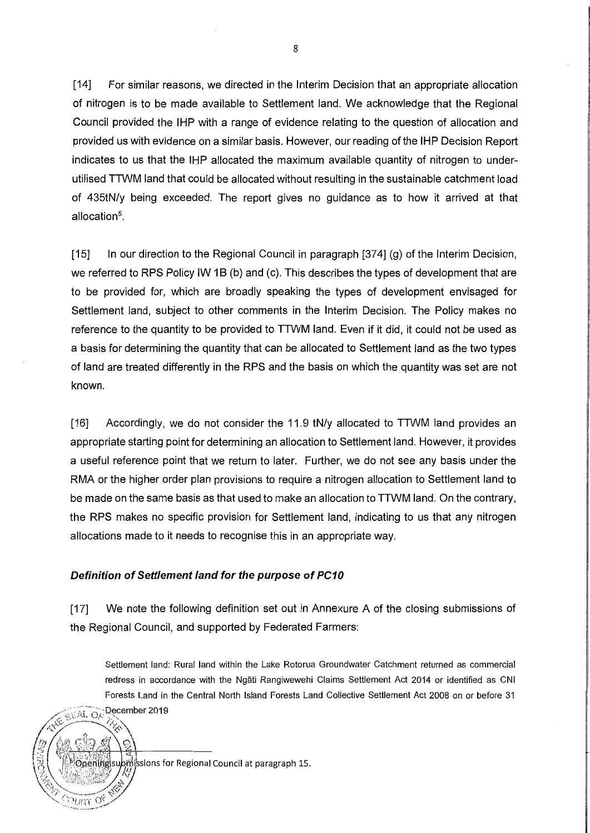[14] For similar reasons, we directed in the Interim Decision that an appropriate allocation of nitrogen is to be made available to Settlement land. We acknowledge that the Regional Council provided the IHP with a range of evidence relating to the question of allocation and provided us with evidence on a similar basis. However, our reading of the IHP Decision Report indicates to us that the IHP allocated the maximum available quantity of nitrogen to underutilised TTWM land that could be allocated without resulting in the sustainable catchment load of 435tN/y being exceeded. The report gives no guidance as to how it arrived at that allocation5.

[15] In our direction to the Regional Council in paragraph [374] (g) of the Interim Decision, we referred to RPS Policy IW 1B (b) and (c). This describes the types of development that are to be provided for, which are broadly speaking the types of development envisaged for Settlement land, subject to other comments in the Interim Decision. The Policy makes no reference to the quantity to be provided to TTWM land. Even if it did, it could not be used as a basis for determining the quantity that can be allocated to Settlement land as the two types of land are treated differently in the RPS and the basis on which the quantity was set are not known.

[16] Accordingly, we do not consider the 11.9 tN/y allocated to TTWM land provides an appropriate starting point for determining an allocation to Settlement land. However, it provides a useful reference point that we return to later. Further, we do not see any basis under the RMA or the higher order plan provisions to require a nitrogen allocation to Settlement land to be made on the same basis as that used to make an allocation to TTWM land. On the contrary, the RPS makes no specific provision for Settlement land, indicating to us that any nitrogen allocations made to it needs to recognise this in an appropriate way.

#### **Definition of Settlement land for the purpose of PC10**

[17] We note the following definition set out in Annexure A of the closing submissions of the Regional Council, and supported by Federated Farmers:

Settlement land: Rural land within the Lake Rotorua Groundwater Catchment returned as commercial redress in accordance with the Ngati Rangiwewehi Claims Settlement Act 2014 or identified as CNI Forests Land in the Central North Island Forests Land Collective Settlement Act 2008 on or before 31 **GEAL OF December 2019** */~;-* "'.:,~-~.:.:,--Si/\ *l0* ,1.., ,(:,1) ("•1},-• *.. ~t ·«'o* \

 $b$ m $\dot{\mathbb{R}}$ sions for Regional Council at paragraph 15.

 $^{79}$   $^{161}$   $^{10}$ 

8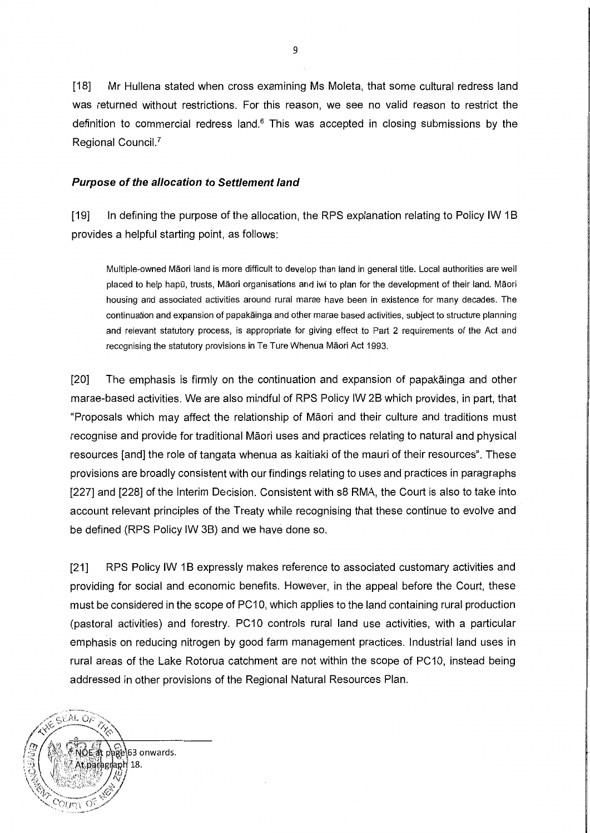[18] Mr Hullena stated when cross examining Ms Moleta, that some cultural redress land was returned without restrictions. For this reason, we see no valid reason to restrict the definition to commercial redress land.<sup>6</sup> This was accepted in closing submissions by the Regional Council.7

### **Purpose of the a/location to Settlement land**

[19] In defining the purpose of the allocation, the RPS explanation relating to Policy IW 1B provides a helpful starting point, as follows:

Multiple-owned Maori land is more difficult to develop than land in general title. Local authorities are well placed to help hapū, trusts, Māori organisations and iwi to plan for the development of their land. Māori housing and associated activities around rural marae have been in existence for many decades. The continuation and expansion of papakainga and other marae based activities, subject to structure planning and relevant statutory process, is appropriate for giving effect to Part 2 requirements of the Act and recognising the statutory provisions in Te Ture Whenua Maori Act 1993.

[20] The emphasis is firmly on the continuation and expansion of papakainga and other marae-based activities. We are also mindful of RPS Policy IW 28 which provides, in part, that "Proposals which may affect the relationship of Maori and their culture and traditions must recognise and provide for traditional Maori uses and practices relating to natural and physical resources [and] the role of tangata whenua as kaitiaki of the mauri of their resources". These provisions are broadly consistent with our findings relating to uses and practices in paragraphs [227] and [228] of the Interim Decision. Consistent with s8 RMA, the Court is also to take into account relevant principles of the Treaty while recognising that these continue to evolve and be defined (RPS Policy IW 3B) and we have done so.

[21] RPS Policy IW 1B expressly makes reference to associated customary activities and providing for social and economic benefits. However, in the appeal before the Court, these must be considered in the scope of PC10, which applies to the land containing rural production (pastoral activities) and forestry. PC10 controls rural land use activities, with a particular emphasis on reducing nitrogen by good farm management practices. Industrial land uses in rural areas of the Lake Rotorua catchment are not within the scope of PC10, instead being addressed in other provisions of the Regional Natural Resources Plan.

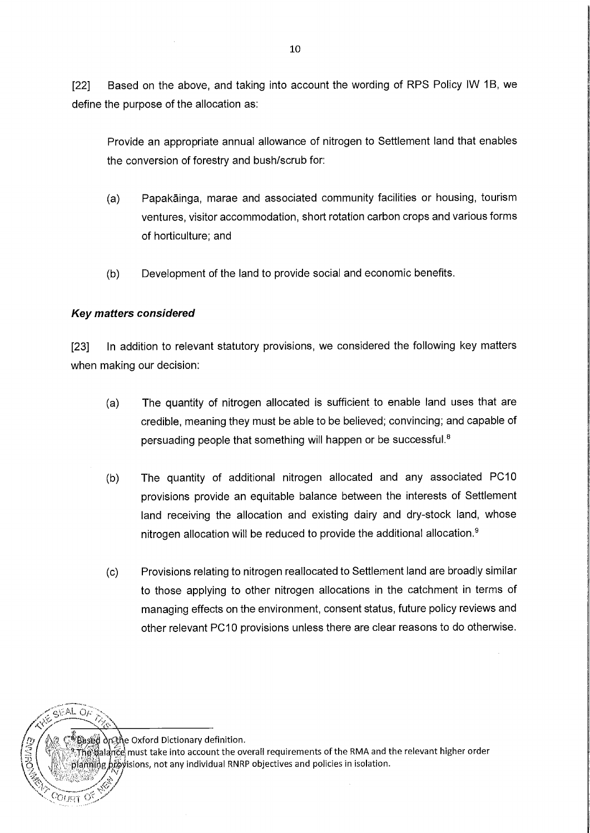[22] Based on the above, and taking into account the wording of RPS Policy IW 1B, we define the purpose of the allocation as:

Provide an appropriate annual allowance of nitrogen to Settlement land that enables the conversion of forestry and bush/scrub for:

- (a) Papakainga, marae and associated community facilities or housing, tourism ventures, visitor accommodation, short rotation carbon crops and various forms of horticulture; and
- (b) Development of the land to provide social and economic benefits.

### **Key matters considered**

[23] In addition to relevant statutory provisions, we considered the following key matters when making our decision:

- (a) The quantity of nitrogen allocated is sufficient to enable land uses that are credible, meaning they must be able to be believed; convincing; and capable of persuading people that something will happen or be successful. <sup>8</sup>
- (b) The quantity of additional nitrogen allocated and any associated PC10 provisions provide an equitable balance between the interests of Settlement land receiving the allocation and existing dairy and dry-stock land, whose nitrogen allocation will be reduced to provide the additional allocation. 9
- (c) Provisions relating to nitrogen reallocated to Settlement land are broadly similar to those applying to other nitrogen allocations in the catchment in terms of managing effects on the environment, consent status, future policy reviews and other relevant PC10 provisions unless there are clear reasons to do otherwise.

<u>ම් විased</u> ბුලැලි Oxford Dictionary definition.

 $GFALOF$ 

 $\widetilde{\rm The}$  galance must take into account the overall requirements of the RMA and the relevant higher order planning *biby*isions, not any individual RNRP objectives and policies in isolation.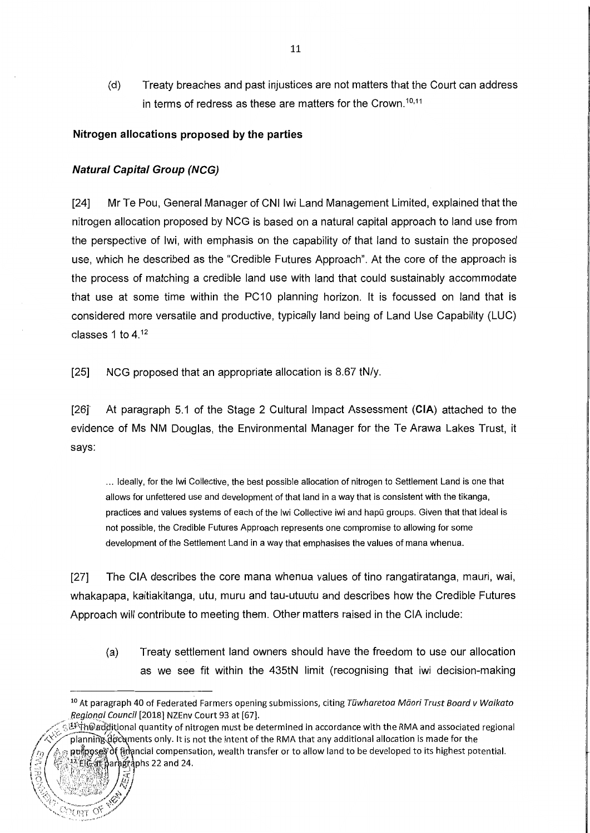(d) Treaty breaches and past injustices are not matters that the Court can address in terms of redress as these are matters for the Crown.<sup>10,11</sup>

### **Nitrogen allocations proposed by the parties**

### **Natural Capital Group (NCG)**

[24] Mr Te Pou, General Manager of CNI lwi Land Management Limited, explained that the nitrogen allocation proposed by NCG is based on a natural capital approach to land use from the perspective of lwi, with emphasis on the capability of that land to sustain the proposed use, which he described as the "Credible Futures Approach". At the core of the approach is the process of matching a credible land use with land that could sustainably accommodate that use at some time within the PC10 planning horizon. It is focussed on land that is considered more versatile and productive, typically land being of Land Use Capability (LUC) classes 1 to  $4^{12}$ 

[25] NCG proposed that an appropriate allocation is 8.67 tN/y.

[26]' At paragraph 5.1 of the Stage 2 Cultural Impact Assessment **(CIA)** attached to the evidence of Ms NM Douglas, the Environmental Manager for the Te Arawa Lakes Trust, it says:

... Ideally, for the lwi Collective, the best possible allocation of nitrogen to Settlement Land is one that allows for unfettered use and development of that land in a way that is consistent with the tikanga, practices and values systems of each of the lwi Collective iwi and hapū groups. Given that that ideal is not possible, the Credible Futures Approach represents one compromise to allowing for some development of the Settlement Land in a way that emphasises the values of mana whenua.

[27] The CIA describes the core mana whenua values of tine rangatiratanga, mauri, wai, whakapapa, kaitiakitanga, utu, muru and tau-utuutu and describes how the Credible Futures Approach will contribute to meeting them. Other matters raised in the CIA include:

(a) Treaty settlement land owners should have the freedom to use our allocation as we see fit within the 435tN limit (recognising that iwi decision-making

pungposes of financial compensation, wealth transfer or to allow land to be developed to its highest potential. f ::\ ~J:c'fa~~~ar ~jphs 22 **and** 24 is (

<sup>&</sup>lt;sup>10</sup> At paragraph 40 of Federated Farmers opening submissions, citing T*uwharetoa Maori Trust Board v Waikato* Regional Council (2018] NZEnv Court 93 at (67].

<sup>&</sup>lt;sup>'狂尔</sup>中@additional quantity of nitrogen must be determined in accordance with the RMA and associated regional planning documents only. It is not the intent of the RMA that any additional allocation is made for the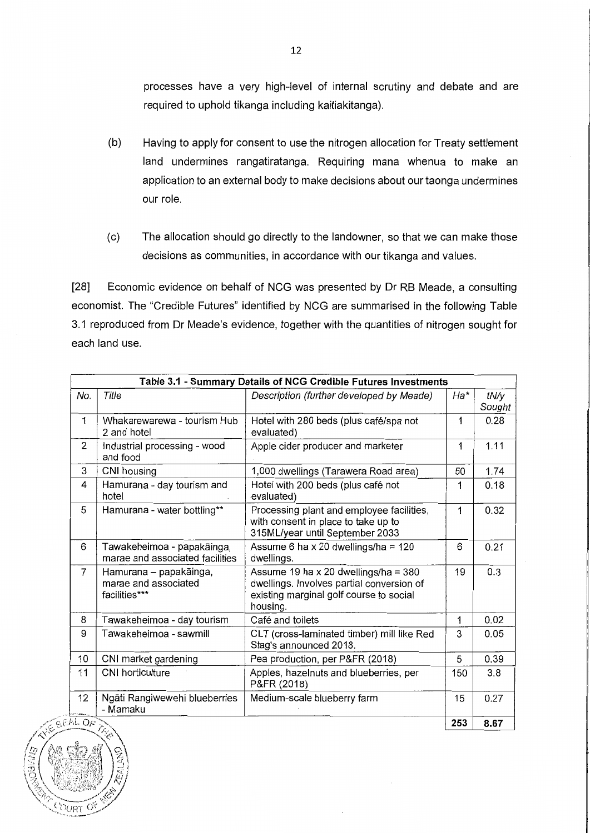processes have a very high-level of internal scrutiny and debate and are required to uphold tikanga including kaitiakitanga).

- (b) Having to apply for consent to use the nitrogen allocation for Treaty settlement land undermines rangatiratanga. Requiring mana whenua to make an application to an external body to make decisions about our taonga undermines our role.
- (c) The allocation should go directly to the landowner, so that we can make those decisions as communities, in accordance with our tikanga and values.

[28] Economic evidence on behalf of NCG was presented by Dr RB Meade, a consulting economist. The "Credible Futures" identified by NCG are summarised in the following Table 3.1 reproduced from Dr Meade's evidence, together with the quantities of nitrogen sought for each land use.

|                   | Table 3.1 - Summary Details of NCG Credible Futures Investments |                                                                                                                                            |     |                |
|-------------------|-----------------------------------------------------------------|--------------------------------------------------------------------------------------------------------------------------------------------|-----|----------------|
| No.               | Title                                                           | Description (further developed by Meade)                                                                                                   | Ha* | tN/y<br>Sought |
| $\mathbf{1}$      | Whakarewarewa - tourism Hub<br>2 and hotel                      | Hotel with 280 beds (plus café/spa not<br>evaluated)                                                                                       | 1   | 0.28           |
| $\overline{2}$    | Industrial processing - wood<br>and food                        | Apple cider producer and marketer                                                                                                          | 1   | 1.11           |
| 3                 | CNI housing                                                     | 1,000 dwellings (Tarawera Road area)                                                                                                       | 50  | 1.74           |
| 4                 | Hamurana - day tourism and<br>hotel                             | Hotel with 200 beds (plus café not<br>evaluated)                                                                                           | 1   | 0.18           |
| 5                 | Hamurana - water bottling**                                     | Processing plant and employee facilities,<br>with consent in place to take up to<br>315ML/year until September 2033                        | 1   | 0.32           |
| 6                 | Tawakeheimoa - papakāinga,<br>marae and associated facilities   | Assume 6 ha x 20 dwellings/ha = $120$<br>dwellings.                                                                                        | 6   | 0.21           |
| $\overline{7}$    | Hamurana - papakāinga,<br>marae and associated<br>facilities*** | Assume 19 ha x 20 dwellings/ha = $380$<br>dwellings. Involves partial conversion of<br>existing marginal golf course to social<br>housing. | 19  | 0.3            |
| 8                 | Tawakeheimoa - day tourism                                      | Café and toilets                                                                                                                           | 1   | 0.02           |
| 9                 | Tawakeheimoa - sawmill                                          | CLT (cross-laminated timber) mill like Red<br>Stag's announced 2018.                                                                       | 3   | 0.05           |
| 10                | CNI market gardening                                            | Pea production, per P&FR (2018)                                                                                                            | 5   | 0.39           |
| 11                | <b>CNI</b> horticulture                                         | Apples, hazelnuts and blueberries, per<br>P&FR (2018)                                                                                      | 150 | 3.8            |
| 12                | Ngāti Rangiwewehi blueberries<br>- Mamaku                       | Medium-scale blueberry farm                                                                                                                | 15  | 0.27           |
| $\overline{M}$ OF | なへ                                                              |                                                                                                                                            | 253 | 8.67           |

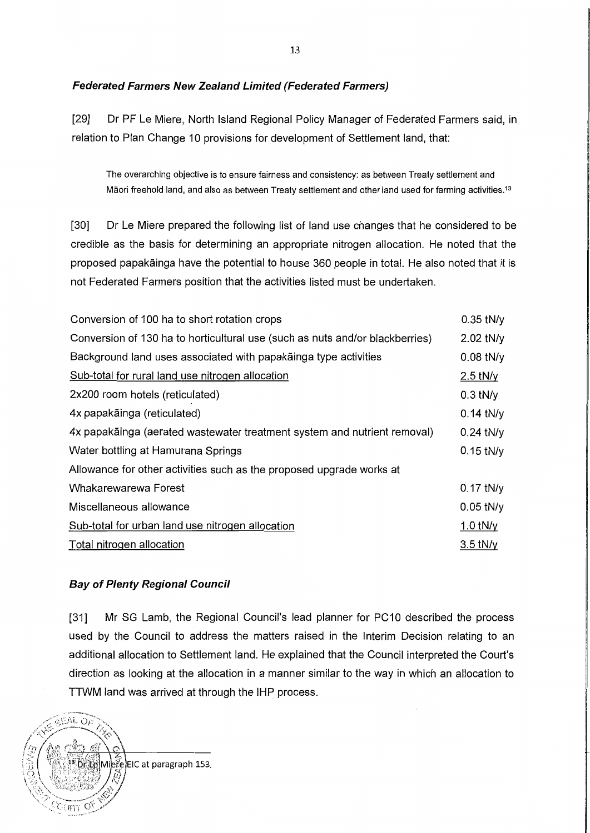### **Federated Farmers New Zealand Limited (Federated Farmers)**

[29] Dr PF Le Miere, North Island Regional Policy Manager of Federated Farmers said, in relation to Plan Change 10 provisions for development of Settlement land, that:

The overarching objective is to ensure fairness and consistency: as between Treaty settlement and Māori freehold land, and also as between Treaty settlement and other land used for farming activities.<sup>13</sup>

[30] Dr Le Miere prepared the following list of land use changes that he considered to be credible as the basis for determining an appropriate nitrogen allocation. He noted that the proposed papakainga have the potential to house 360 people in total. He also noted that it is not Federated Farmers position that the activities listed must be undertaken.

| Conversion of 100 ha to short rotation crops                                 | $0.35$ tN/y |
|------------------------------------------------------------------------------|-------------|
| Conversion of 130 ha to horticultural use (such as nuts and/or blackberries) | 2.02 tN/y   |
| Background land uses associated with papakäinga type activities              | $0.08$ tN/y |
| Sub-total for rural land use nitrogen allocation                             | $2.5$ tN/y  |
| 2x200 room hotels (reticulated)                                              | $0.3$ tN/y  |
| 4x papakāinga (reticulated)                                                  | $0.14$ tN/y |
| 4x papakāinga (aerated wastewater treatment system and nutrient removal)     | $0.24$ tN/y |
| Water bottling at Hamurana Springs                                           | $0.15$ tN/y |
| Allowance for other activities such as the proposed upgrade works at         |             |
| Whakarewarewa Forest                                                         | $0.17$ tN/y |
| Miscellaneous allowance                                                      | $0.05$ tN/y |
| Sub-total for urban land use nitrogen allocation                             | 1.0 $t$ N/y |
| Total nitrogen allocation                                                    | $3.5$ tN/y  |
|                                                                              |             |

### **Bay of Plenty Regional Council**

[31] Mr SG Lamb, the Regional Council's lead planner for PC10 described the process used by the Council to address the matters raised in the Interim Decision relating to an additional allocation to Settlement land. He explained that the Council interpreted the Court's direction as looking at the allocation in a manner similar to the way in which an allocation to TTWM land was arrived at through the IHP process.

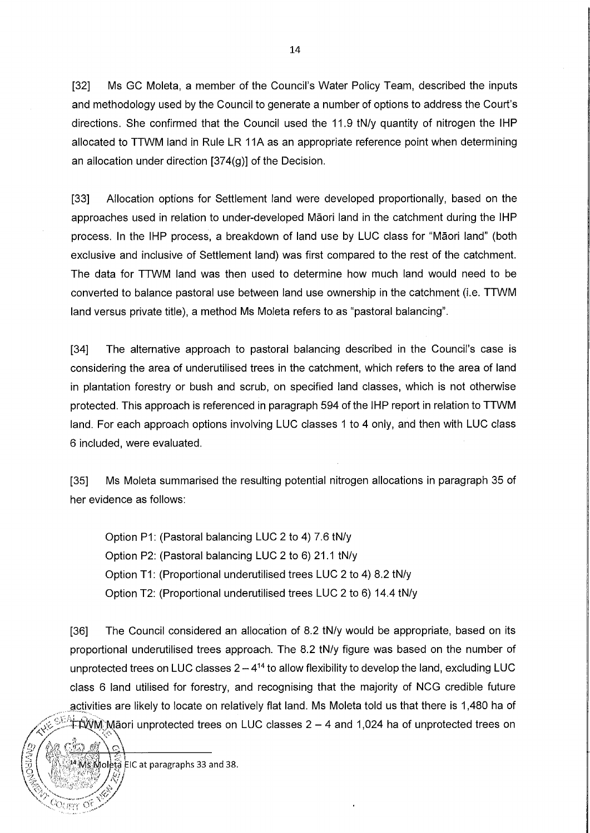[32] Ms GC Moleta, a member of the Council's Water Policy Team, described the inputs and methodology used by the Council to generate a number of options to address the Court's directions. She confirmed that the Council used the 11.9 tN/y quantity of nitrogen the IHP allocated to TTWM land in Rule LR 11A as an appropriate reference point when determining an allocation under direction [374(g)] of the Decision.

[33] Allocation options for Settlement land were developed proportionally, based on the approaches used in relation to under-developed Maori land in the catchment during the IHP process. In the IHP process, a breakdown of land use by LUC class for "Maori land" (both exclusive and inclusive of Settlement land) was first compared to the rest of the catchment. The data for TTWM land was then used to determine how much land would need to be converted to balance pastoral use between land use ownership in the catchment (i.e. TTWM land versus private title), a method Ms Moleta refers to as "pastoral balancing".

[34] The alternative approach to pastoral balancing described in the Council's case is considering the area of underutilised trees in the catchment, which refers to the area of land in plantation forestry or bush and scrub, on specified land classes, which is not otherwise protected. This approach is referenced in paragraph 594 of the IHP report in relation to TTWM land. For each approach options involving LUC classes 1 to 4 only, and then with LUC class 6 included, were evaluated.

[35] Ms Moleta summarised the resulting potential nitrogen allocations in paragraph 35 of her evidence as follows:

Option P1: (Pastoral balancing LUC 2 to 4) 7.6 tN/y Option P2: (Pastoral balancing LUC 2 to 6) 21.1 tN/y Option T1: (Proportional underutilised trees LUC 2 to 4) 8.2 tN/y Option T2: (Proportional underutilised trees LUC 2 to 6) 14.4 tN/y

[36] The Council considered an allocation of 8.2 tN/y would be appropriate, based on its proportional underutilised trees approach. The 8.2 tN/y figure was based on the number of unprotected trees on LUC classes  $2-4^{14}$  to allow flexibility to develop the land, excluding LUC class 6 land utilised for forestry, and recognising that the majority of NCG credible future activities are likely to locate on relatively flat land. Ms Moleta told us that there is 1,480 ha of <u>king the protected trees on LUC classes 2 – 4 and 1,024 ha of unprotected trees on /</u>  $\Delta\, \sim$  ,  $\sim$   $\Delta$   $\sim$ 

 $\dot{M}$ oleta EIC at paragraphs 33 and 38.

;<br>(!)

 $\land$ e tin e' $\setminus$ o $\setminus$ 

 $\sqrt{\frac{6}{2}}$   $\frac{1}{2}$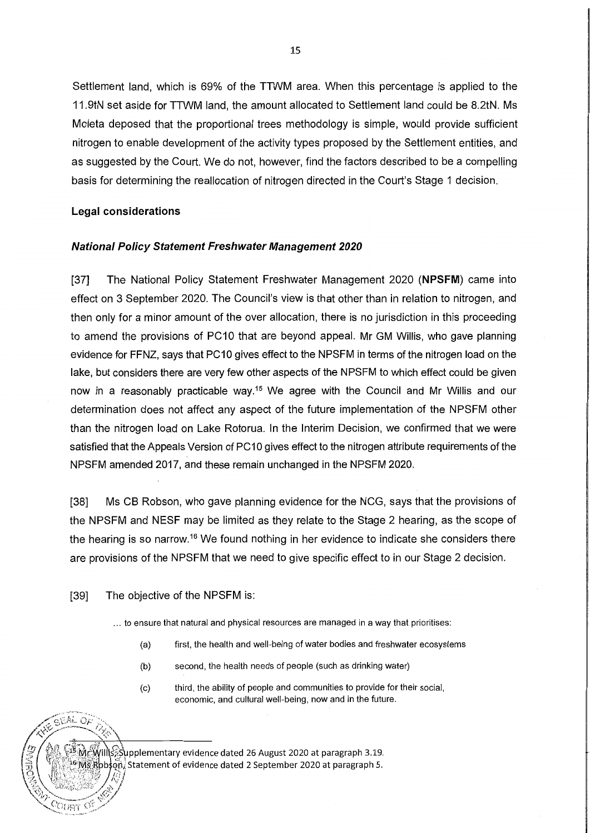Settlement land, which is 69% of the TTWM area. When this percentage is applied to the 11.9tN set aside for TTWM land, the amount allocated to Settlement land could be 8.2tN. Ms Moleta deposed that the proportional trees methodology is simple, would provide sufficient nitrogen to enable development of the activity types proposed by the Settlement entities, and as suggested by the Court. We do not, however, find the factors described to be a compelling basis for determining the reallocation of nitrogen directed in the Court's Stage 1 decision.

### **Legal considerations**

### **National Policy Statement Freshwater Management 2020**

[37] The National Policy Statement Freshwater Management 2020 **(NPSFM)** came into effect on 3 September 2020. The Council's view is that other than in relation to nitrogen, and then only for a minor amount of the over allocation, there is no jurisdiction in this proceeding to amend the provisions of PC10 that are beyond appeal. Mr GM Willis, who gave planning evidence for FFNZ, says that PC10 gives effect to the NPSFM in terms of the nitrogen load on the lake, but considers there are very few other aspects of the NPSFM to which effect could be given now in a reasonably practicable way.<sup>15</sup> We agree with the Council and Mr Willis and our determination does not affect any aspect of the future implementation of the NPSFM other than the nitrogen load on Lake Rotorua. In the Interim Decision, we confirmed that we were satisfied that the Appeals Version of PC10 gives effect to the nitrogen attribute requirements of the NPSFM amended 2017, and these remain unchanged in the NPSFM 2020.

[38] Ms CB Robson, who gave planning evidence for the NCG, says that the provisions of the NPSFM and NESF may be limited as they relate to the Stage 2 hearing, as the scope of the hearing is so narrow.<sup>16</sup> We found nothing in her evidence to indicate she considers there are provisions of the NPSFM that we need to give specific effect to in our Stage 2 decision.

### [39] The objective of the NPSFM is:

GEAL OF

 $COWBY$  Of

... to ensure that natural and physical resources are managed in a way that prioritises:

- (a) first, the health and well-being of water bodies and freshwater ecosystems
- (b) second, the health needs of people (such as drinking water)
- (c) third, the ability of people and communities to provide for their social, economic, and cultural well-being, now and in the future.

MrcWillts: Supplementary evidence dated 26 August 2020 at paragraph 3.19. Ms Robson, Statement of evidence dated 2 September 2020 at paragraph 5.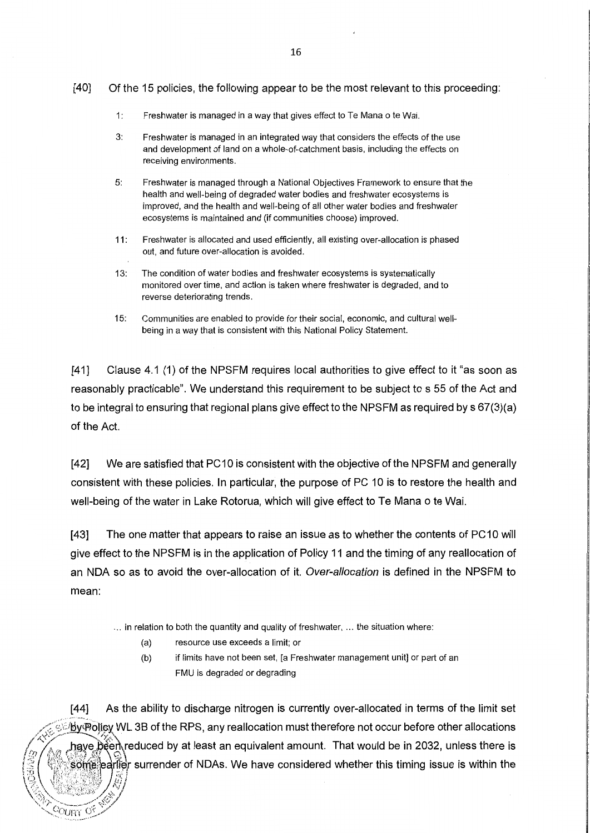### [40] Of the 15 policies, the following appear to be the most relevant to this proceeding:

- 1: Freshwater is managed in a way that gives effect to Te Mana o te Wai.
- 3: Freshwater is managed in an integrated way that considers the effects of the use and development of land on a whole-of-catchment basis, including the effects on receiving environments.
- 5: Freshwater is managed through a National Objectives Framework to ensure that the health and well-being of degraded water bodies and freshwater ecosystems is improved, and the health and well-being of all other water bodies and freshwater ecosystems is maintained and (if communities choose) improved.
- 11: Freshwater is allocated and used efficiently, all existing over-allocation is phased out, and future over-allocation is avoided.
- 13: The condition of water bodies and freshwater ecosystems is systematically monitored over time, and action is taken where freshwater is degraded, and to reverse deteriorating trends.
- 15: Communities are enabled to provide for their social, economic, and cultural wellbeing in a way that is consistent with this National Policy Statement.

[41] Clause 4.1 (1) of the NPSFM requires local authorities to give effect to it "as soon as reasonably practicable". We understand this requirement to be subject to s 55 of the Act and to be integral to ensuring that regional plans give effect to the NPSFM as required by s 67(3)(a) of the Act.

[42] We are satisfied that PC10 is consistent with the objective of the NPSFM and generally consistent with these policies. In particular, the purpose of PC 10 is to restore the health and well-being of the water in Lake Rotorua, which will give effect to Te Mana o te Wai.

[43] The one matter that appears to raise an issue as to whether the contents of PC10 will give effect to the NPSFM is in the application of Policy 11 and the timing of any reallocation of an NDA so as to avoid the over-allocation of it. Over-allocation is defined in the NPSFM to mean:

... in relation to both the quantity and quality of freshwater, ... the situation where:

(a) resource use exceeds a limit; or

/4:

 $\rm \circ cm$   $\rm \circ s$ 

(b) if limits have not been set, [a Freshwater management unit] or part of an FMU is degraded or degrading

[44] As the ability to discharge nitrogen is currently over-allocated in terms of the limit set by@Dlicy WL 3B of the RPS, any reallocation must therefore not occur before other allocations have bèen\reduced by at least an equivalent amount. That would be in 2032, unless there is<br>some, earlier surrender of NDAs, We have considered whether this timing issue is within the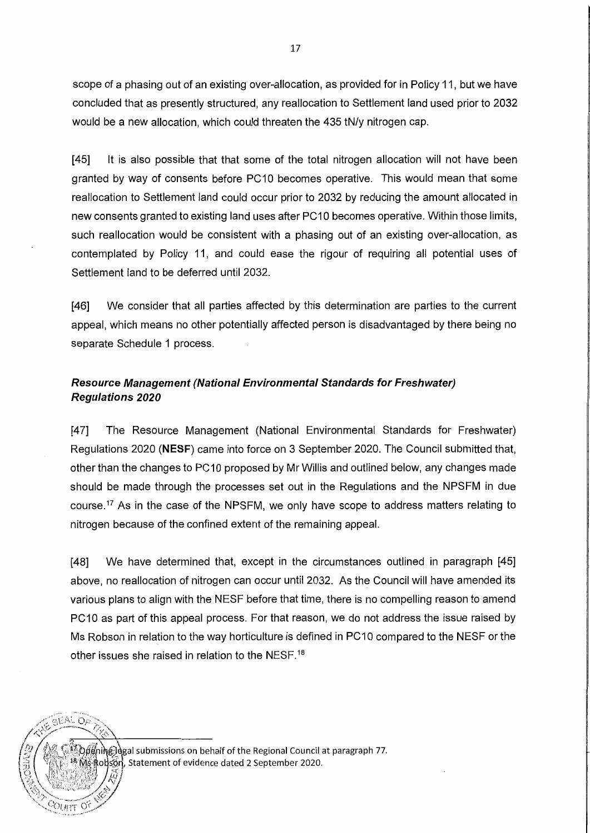scope of a phasing out of an existing over-allocation, as provided for in Policy 11, but we have concluded that as presently structured, any reallocation to Settlement land used prior to 2032 would be a new allocation, which could threaten the 435 tN/y nitrogen cap.

[45] It is also possible that that some of the total nitrogen allocation will not have been granted by way of consents before PC10 becomes operative. This would mean that some reallocation to Settlement land could occur prior to 2032 by reducing the amount allocated in new consents granted to existing land uses after PC10 becomes operative. Within those limits, such reallocation would be consistent with a phasing out of an existing over-allocation, as contemplated by Policy 11, and could ease the rigour of requiring all potential uses of Settlement land to be deferred until 2032.

**[46]** We consider that all parties affected by this determination are parties to the current appeal, which means no other potentially affected person is disadvantaged by there being no separate Schedule 1 process.

### **Resource Management (National Environmental Standards for Freshwater) Regulations 2020**

[47] The Resource Management (National Environmental Standards for Freshwater) Regulations 2020 **(NESF)** came into force on 3 September 2020. The Council submitted that, other than the changes to PC 10 proposed by Mr Willis and outlined below, any changes made should be made through the processes set out in the Regulations and the NPSFM in due course.<sup>17</sup> As in the case of the NPSFM, we only have scope to address matters relating to nitrogen because of the confined extent of the remaining appeal.

[48] We have determined that, except in the circumstances outlined in paragraph [45] above, no reallocation of nitrogen can occur until 2032. As the Council will have amended its various plans to align with the NESF before that time, there is no compelling reason to amend PC10 as part of this appeal process. For that reason, we do not address the issue raised by Ms Robson in relation to the way horticulture is defined in PC10 compared to the NESF or the other issues she raised in relation to the NESF.<sup>18</sup>

ပြီးမှုကြိုးခြွဲခြဲများ submissions on behalf of the Regional Council at paragraph 77. Robson, Statement of evidence dated 2 September 2020.

 $\overline{C}$ OURT OF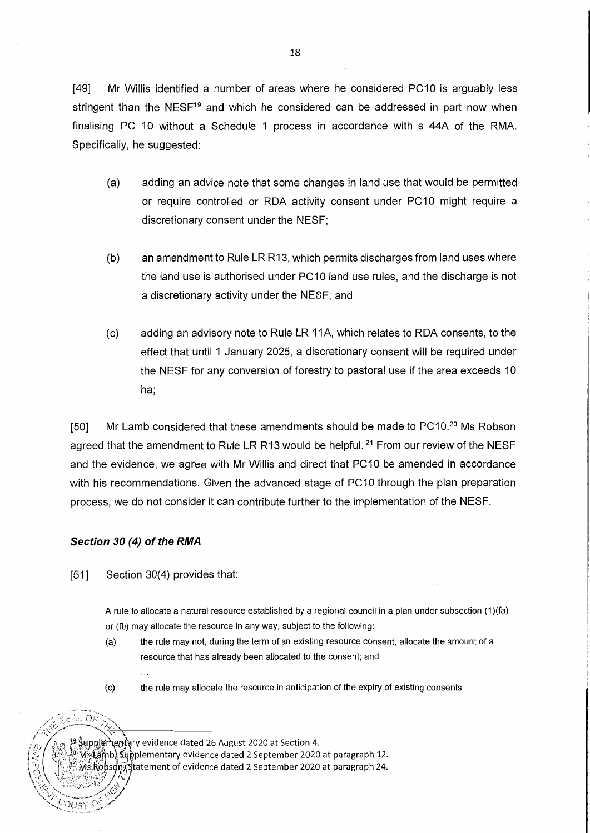[49] Mr Willis identified a number of areas where he considered PC10 is arguably less stringent than the NESF<sup>19</sup> and which he considered can be addressed in part now when finalising PC 10 without a Schedule 1 process in accordance with s 44A of the RMA. Specifically, he suggested:

- (a) adding an advice note that some changes in land use that would be permitted or require controlled or RDA activity consent under PC 10 might require a discretionary consent under the NESF;
- (b) an amendment to Rule LR R13, which permits discharges from land uses where the land use is authorised under PC 10 land use rules, and the discharge is not a discretionary activity under the NESF; and
- (c) adding an advisory note to Rule LR 11A, which relates to RDA consents, to the effect that until 1 January 2025, a discretionary consent will be required under the NESF for any conversion of forestry to pastoral use if the area exceeds 10 ha;

[50] Mr Lamb considered that these amendments should be made to PC10.<sup>20</sup> Ms Robson agreed that the amendment to Rule LR R13 would be helpful.<sup>21</sup> From our review of the NESF and the evidence, we agree with Mr Willis and direct that PC10 be amended in accordance with his recommendations. Given the advanced stage of PC10 through the plan preparation process, we do not consider it can contribute further to the implementation of the NESF.

### **Section 30 (4) of the RMA**

[51] Section 30(4) provides that:

 $\sim$ 

A rule to allocate a natural resource established by a regional council in a plan under subsection (1 )(fa) or (fb) may allocate the resource in any way, subject to the following:

- (a) the rule may not, during the term of an existing resource consent, allocate the amount of a resource that has already been allocated to the consent; and
- 

EAL OF

ිටිටු ලැ

(c) the rule may allocate the resource in anticipation of the expiry of existing consents

<sup>19</sup> Supplementary evidence dated 26 August 2020 at Section 4. Wr(Lamb) Supplementary evidence dated 2 September 2020 at paragraph 12. Ms Robson, Statement of evidence dated 2 September 2020 at paragraph 24.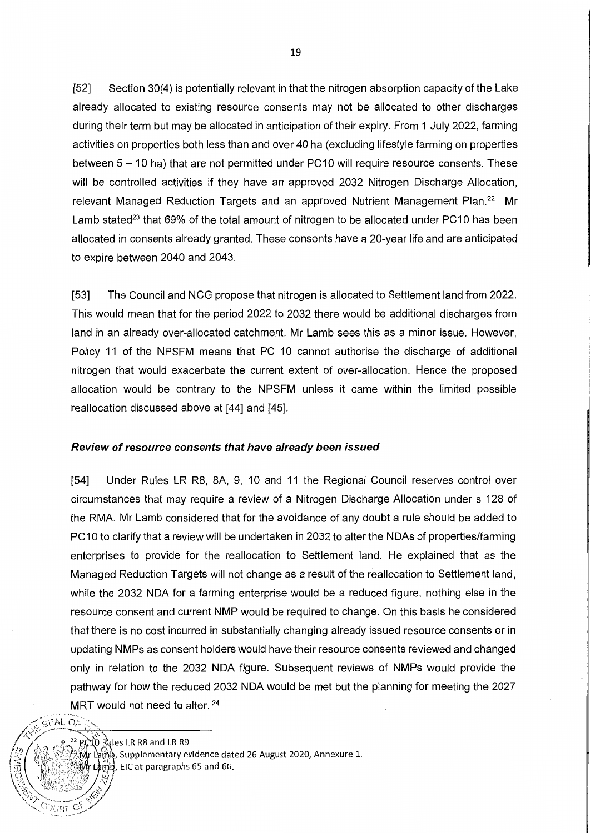[52] Section 30(4) is potentially relevant in that the nitrogen absorption capacity of the Lake already allocated to existing resource consents may not be allocated to other discharges during their term but may be allocated in anticipation of their expiry. From 1 July 2022, farming activities on properties both less than and over 40 ha (excluding lifestyle farming on properties between  $5 - 10$  ha) that are not permitted under PC10 will require resource consents. These will be controlled activities if they have an approved 2032 Nitrogen Discharge Allocation, relevant Managed Reduction Targets and an approved Nutrient Management Plan.<sup>22</sup> Mr Lamb stated<sup>23</sup> that 69% of the total amount of nitrogen to be allocated under PC10 has been allocated in consents already granted. These consents have a 20-year life and are anticipated to expire between 2040 and 2043.

[53] The Council and NCG propose that nitrogen is allocated to Settlement land from 2022. This would mean that for the period 2022 to 2032 there would be additional discharges from land in an already over-allocated catchment. Mr Lamb sees this as a minor issue. However, Policy 11 of the NPSFM means that PC 10 cannot authorise the discharge of additional nitrogen that would exacerbate the current extent of over-allocation. Hence the proposed allocation would be contrary to the NPSFM unless it came within the limited possible reallocation discussed above at [44] and [45].

#### **Review of resource consents that have already been issued**

[54] Under Rules LR R8, 8A, 9, 10 and 11 the Regional Council reserves control over circumstances that may require a review of a Nitrogen Discharge Allocation under s 128 of the RMA. Mr Lamb considered that for the avoidance of any doubt a rule should be added to PC10 to clarify that a review will be undertaken in 2032 to alter the NDAs of properties/farming enterprises to provide for the reallocation to Settlement land. He explained that as the Managed Reduction Targets will not change as a result of the reallocation to Settlement land, while the 2032 NOA for a farming enterprise would be a reduced figure, nothing else in the resource consent and current NMP would be required to change. On this basis he considered that there is no cost incurred in substantially changing already issued resource consents or in updating NMPs as consent holders would have their resource consents reviewed and changed only in relation to the 2032 NOA figure. Subsequent reviews of NMPs would provide the pathway for how the reduced 2032 NOA would be met but the planning for meeting the 2027 MRT would not need to alter. <sup>24</sup>

 $\frac{1}{2}$ e EAL OF<br> $\frac{2}{2}$  PC10 Rules LR R8 and LR R9  $\dot{\mathbb{M}}$ r Lamb, Supplementary evidence dated 26 August 2020, Annexure 1. Lamb, EIC at paragraphs 65 and 66. **\** 

 $\alpha_{\rm FPT} \propto$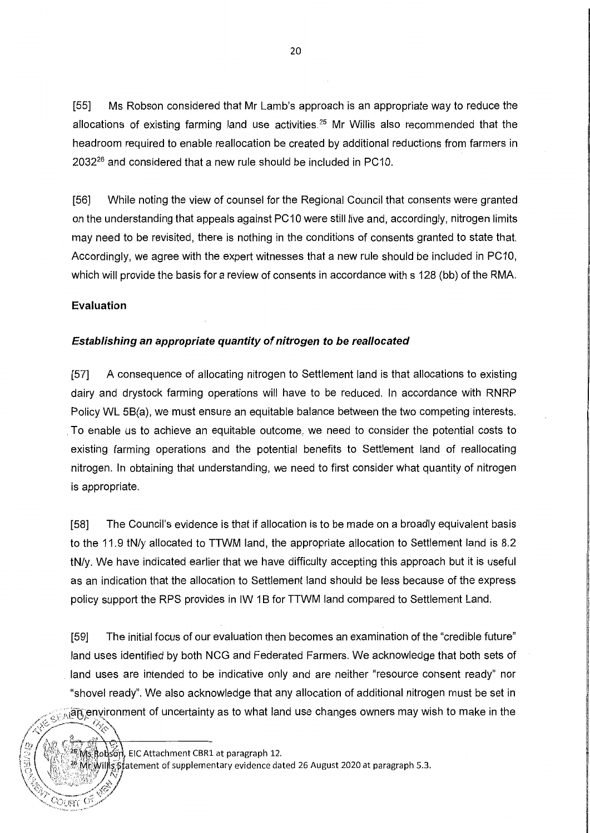[55] Ms Robson considered that Mr Lamb's approach is an appropriate way to reduce the allocations of existing farming land use activities.<sup>25</sup> Mr Willis also recommended that the headroom required to enable reallocation be created by additional reductions from farmers in  $2032^{26}$  and considered that a new rule should be included in PC10.

[56] While noting the view of counsel for the Regional Council that consents were granted on the understanding that appeals against PC 10 were still live and, accordingly, nitrogen limits may need to be revisited, there is nothing in the conditions of consents granted to state that. Accordingly, we agree with the expert witnesses that a new rule should be included in PC10, which will provide the basis for a review of consents in accordance with s 128 (bb) of the RMA.

### **Evaluation**

### **Establishing an appropriate quantity of nitrogen to be reallocated**

[57] A consequence of allocating nitrogen to Settlement land is that allocations to existing dairy and drystock farming operations will have to be reduced. In accordance with RNRP Policy WL 5B(a), we must ensure an equitable balance between the two competing interests . . To enable us to achieve an equitable outcome, we need to consider the potential costs to existing farming operations and the potential benefits to Settlement land of reallocating nitrogen. In obtaining that understanding, we need to first consider what quantity of nitrogen is appropriate.

[58] The Council's evidence is that if allocation is to be made on a broadly equivalent basis to the 11.9 tN/y allocated to TTWM land, the appropriate allocation to Settlement land is 8.2 tN/y. We have indicated earlier that we have difficulty accepting this approach but it is useful as an indication that the allocation to Settlement land should be less because of the express policy support the RPS provides in IW 1 B for TTWM land compared to Settlement Land.

[59] The initial focus of our evaluation then becomes an examination of the "credible future" land uses identified by both NCG and Federated Farmers. We acknowledge that both sets of land uses are intended to be indicative only and are neither "resource consent ready" nor "shovel ready". We also acknowledge that any allocation of additional nitrogen must be set in  $\sim$ ्रद्भिविंधि environment of uncertainty as to what land use changes owners may wish to make in the

', */)7 !,,fl•* l\_, .\_,, f *>1·* ';,  $\gamma$ s Robsón, EIC Attachment CBR1 at paragraph 12.

/

 $\left\langle \sqrt[k]{\phantom{a}}\right\rangle$  ,  $\left\langle \sqrt[k]{\phantom{a}}\right\rangle$ 

-Oust

 $\sqrt{2\pi r^2 + 1}$ 

 $\dddot{\mathbb{G}}$ . Will s statement of supplementary evidence dated 26 August 2020 at paragraph 5.3.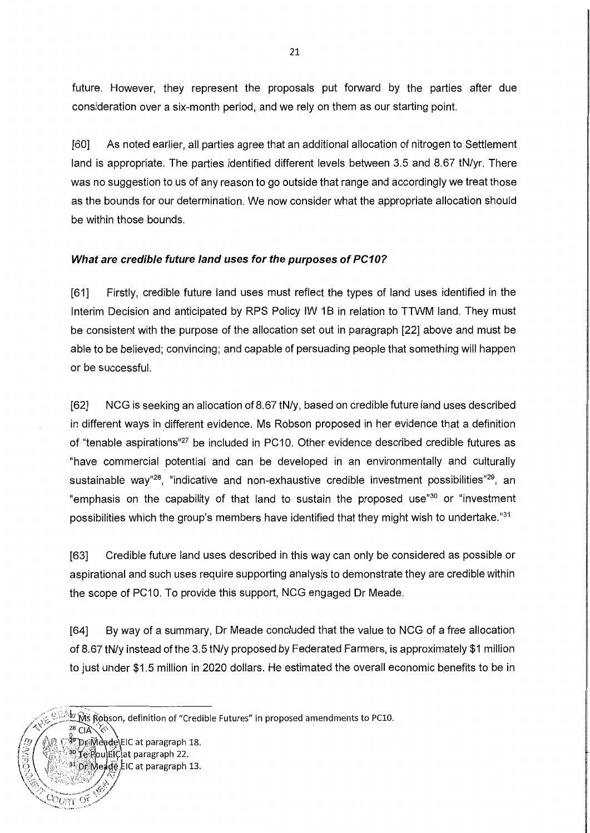future. However, they represent the proposals put forward by the parties after due consideration over a six-month period, and we rely on them as our starting point.

[60] As noted earlier, all parties agree that an additional allocation of nitrogen to Settlement land is appropriate. The parties identified different levels between 3.5 and 8.67 tN/yr. There was no suggestion to us of any reason to go outside that range and accordingly we treat those as the bounds for our determination. We now consider what the appropriate allocation should be within those bounds.

### **What are credible future land uses for the purposes of PC10?**

[61] Firstly, credible future land uses must reflect the types of land uses fdentified in the Interim Decision and anticipated by RPS Policy IW 18 in relation to TTWM land. They must be consistent with the purpose of the allocation set out in paragraph [22] above and must be able to be believed; convincing; and capable of persuading people that something will happen or be successful.

[62] NCG is seeking an allocation of 8.67 tN/y, based on credible future land uses described in different ways in different evidence. Ms Robson proposed in her evidence that a definition of "tenable aspirations"<sup>27</sup> be included in PC10. Other evidence described credible futures as "have commercial potential and can be developed in an environmentally and culturally sustainable way"<sup>28</sup>, "indicative and non-exhaustive credible investment possibilities"<sup>29</sup>, an "emphasis on the capability of that land to sustain the proposed use<sup>"30</sup> or "investment possibilities which the group's members have identified that they might wish to undertake."<sup>31</sup>

[63] Credible future land uses described in this way can only be considered as possible or aspirational and such uses require supporting analysis to demonstrate they are credible within the scope of PC10. To provide this support, NCG engaged Dr Meade.

[64] By way of a summary, Dr Meade concluded that the value to NCG of a free allocation of 8.67 tN/y instead of the 3.5 tN/y proposed by Federated Farmers, is approximately \$1 million to just under \$1.5 million in 2020 dollars. He estimated the overall economic benefits to be in

<u>dum of </u>

Dr.Meade EIC at paragraph 13.

**ME Robson, definition of "Credible Futures" in proposed amendments to PC10.**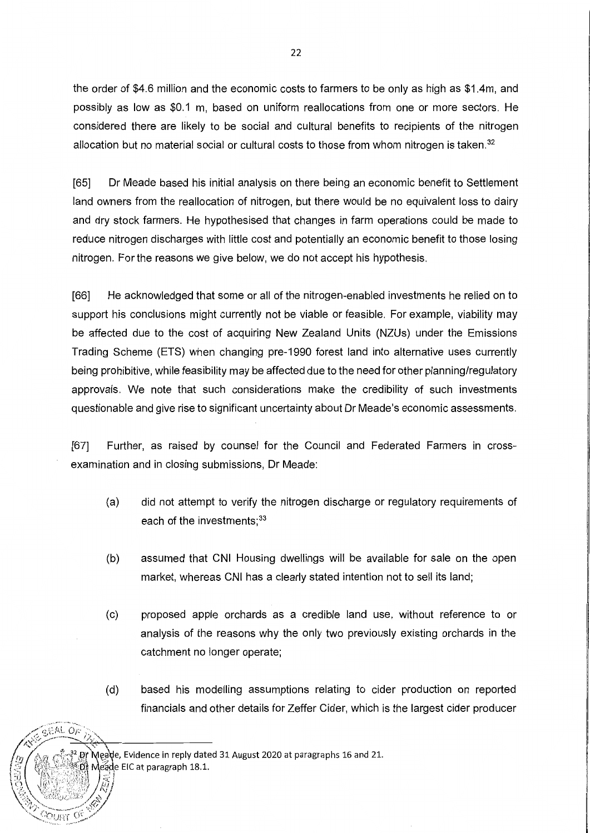the order of \$4.6 million and the economic costs to farmers to be only as high as \$1 .4m, and possibly as low as \$0.1 m, based on uniform reallocations from one or more sectors. He considered there are likely to be social and cultural benefits to recipients of the nitrogen allocation but no material social or cultural costs to those from whom nitrogen is taken.<sup>32</sup>

[65] Dr Meade based his initial analysis on there being an economic benefit to Settlement land owners from the reallocation of nitrogen, but there would be no equivalent loss to dairy and dry stock farmers. He hypothesised that changes in farm operations could be made to reduce nitrogen discharges with little cost and potentially an economic benefit to those losing nitrogen. For the reasons we give below, we do not accept his hypothesis.

[66] He acknowledged that some or all of the nitrogen-enabled investments he relied on to support his conclusions might currently not be viable or feasible. For example, viability may be affected due to the cost of acquiring New Zealand Units (NZUs) under the Emissions Trading Scheme (ETS) when changing pre-1990 forest land into alternative uses currently being prohibitive, while feasibility may be affected due to the need for other planning/regulatory approvals. We note that such considerations make the credibility of such investments questionable and give rise to significant uncertainty about Dr Meade's economic assessments.

[67] Further, as raised by counsel for the Council and Federated Farmers in crossexamination and in closing submissions, Dr Meade:

- (a) did not attempt to verify the nitrogen discharge or regulatory requirements of each of the investments;<sup>33</sup>
- (b) assumed that CNI Housing dwellings will be available for sale on the open market, whereas CNI has a clearly stated intention not to sell its land;
- (c) proposed apple orchards as a credible land use, without reference to or analysis of the reasons why the only two previously existing orchards in the catchment no longer operate;
- (d) based his modelling assumptions relating to cider production on reported financials and other details for Zeffer Cider, which is the largest cider producer

Meage, Evidence in reply dated 31 August 2020 at paragraphs 16 and 21.

Meade EIC at paragraph 18.1.

 $CFAL$ 

ourt o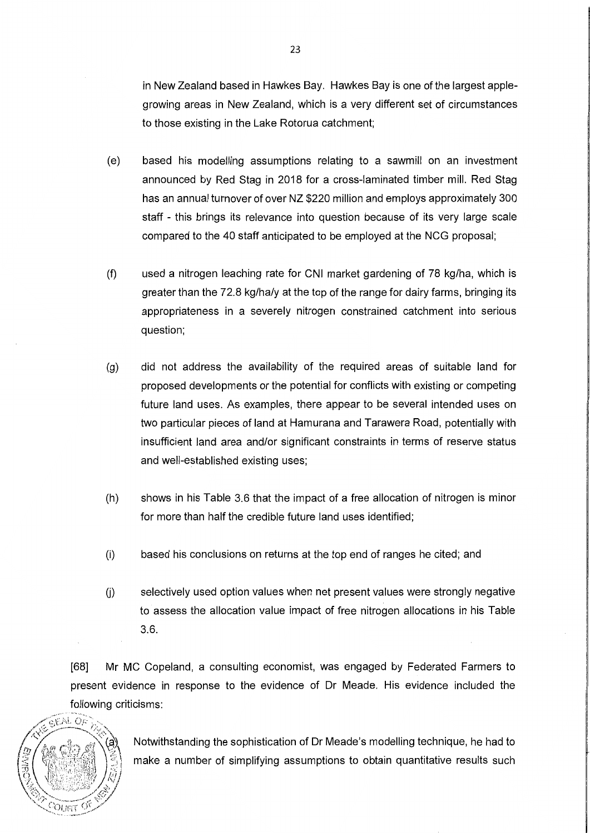in New Zealand based in Hawkes Bay. Hawkes Bay is one of the largest applegrowing areas in New Zealand, which is a very different set of circumstances to those existing in the Lake Rotorua catchment;

- (e) based his modelling assumptions relating to a sawmill on an investment announced by Red Stag in 2018 for a cross-laminated timber mill. Red Stag has an annual turnover of over **NZ** \$220 million and employs approximately 300 staff - this brings its relevance into question because of its very large scale compared to the 40 staff anticipated to be employed at the NCG proposal;
- (f) used a nitrogen leaching rate for CNI market gardening of 78 kg/ha, which is greater than the 72.8 kg/ha/y at the top of the range for dairy farms, bringing its appropriateness in a severely nitrogen constrained catchment into serious question;
- (g) did not address the availability of the required areas of suitable land for proposed developments or the potential for conflicts with existing or competing future land uses. As examples, there appear to be several intended uses on two particular pieces of land at Hamurana and Tarawera Road, potentially with insufficient land area and/or significant constraints in terms of reserve status and well-established existing uses;
- (h) shows in his Table 3.6 that the impact of a free allocation of nitrogen is minor for more than half the credible future land uses identified;
- (i) based his conclusions on returns at the top end of ranges he cited; and
- U) selectively used option values when net present values were strongly negative to assess the allocation value impact of free nitrogen allocations in his Table 3.6.

[68] Mr MC Copeland, a consulting economist, was engaged by Federated Farmers to present evidence in response to the evidence of Dr Meade. His evidence included the following criticisms:



Notwithstanding the sophistication of Dr Meade's modelling technique, he had to make a number of simplifying assumptions to obtain quantitative results such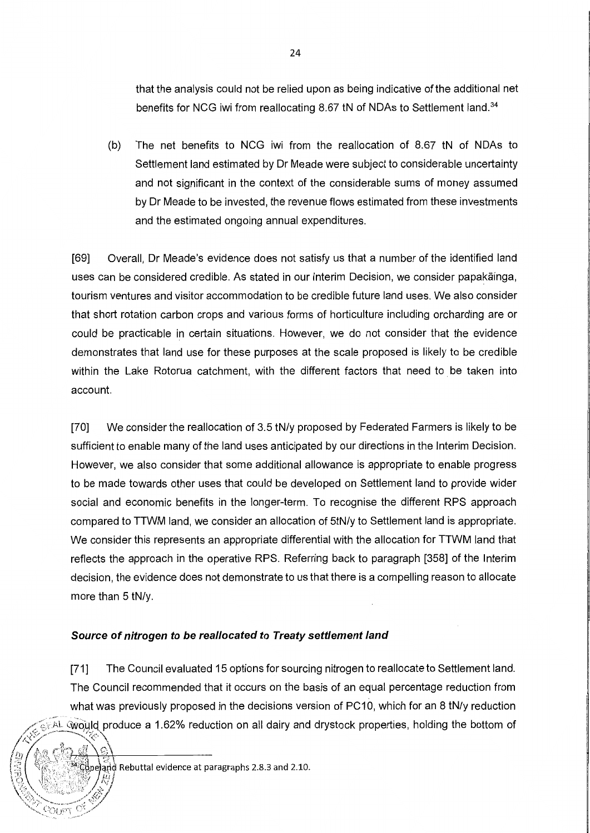that the analysis could not be relied upon as being indicative of the additional net benefits for NCG iwi from reallocating 8.67 tN of NDAs to Settlement land.<sup>34</sup>

(b) The net benefits to NCG iwi from the reallocation of 8.67 tN of NDAs to Settlement land estimated by Dr Meade were subject to considerable uncertainty and not significant in the context of the considerable sums of money assumed by Dr Meade to be invested, the revenue flows estimated from these investments and the estimated ongoing annual expenditures.

[69] Overall, Dr Meade's evidence does not satisfy us that a number of the identified land uses can be considered credible. As stated in our Interim Decision, we consider papakainga, tourism ventures and visitor accommodation to be credible future land uses. We also consider that short rotation carbon crops and various forms of horticulture including orcharding are or could be practicable in certain situations. However, we do not consider that the evidence demonstrates that land use for these purposes at the scale proposed is likely to be credible within the Lake Rotorua catchment, with the different factors that need to be taken into account.

[70] We consider the reallocation of 3.5 tN/y proposed by Federated Farmers is likely to be sufficient to enable many of the land uses anticipated by our directions in the Interim Decision. However, we also consider that some additional allowance is appropriate to enable progress to be made towards other uses that could be developed on Settlement land to provide wider social and economic benefits in the longer-term. To recognise the different RPS approach compared to TTWM land, we consider an allocation of 5tN/y to Settlement land is appropriate. We consider this represents an appropriate differential with the allocation for TTWM land that reflects the approach in the operative RPS. Referring back to paragraph [358] of the Interim decision, the evidence does not demonstrate to us that there is a compelling reason to allocate more than 5 tN/y.

### **Source of nitrogen to be reallocated to Treaty settlement land**

[71] The Council evaluated 15 options for sourcing nitrogen to reallocate to Settlement land. The Council recommended that it occurs on the basis of an equal percentage reduction from what was previously proposed in the decisions version of PC10, which for an 8 tN/y reduction would produce a 1.62% reduction on all dairy and drystock properties, holding the bottom of *,I -..,"'-,(.-* ... ,.~\_,.,...-----.......\_~,·--/ ,. ' /<t" -~ ? ,~·

(a) ((1) a)<br>2) <br>3) Colorand Rebuttal evidence at paragraphs 2.8.3 and 2.10.

t *\_!f* ,if>P::S~:\l'I+~-~-"""·:~.,..g---+0

*;~/{l~l)* 

*\~t::i*<sup>1</sup>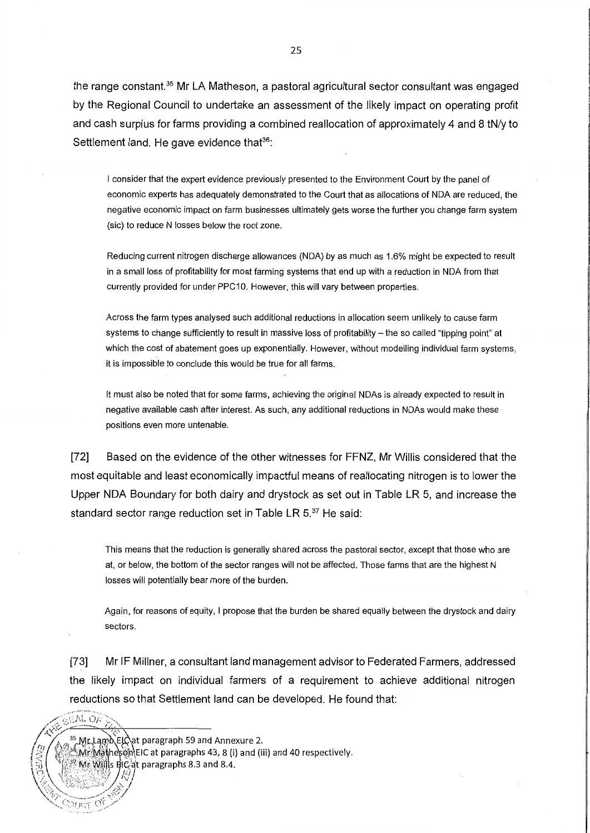the range constant.<sup>35</sup> Mr LA Matheson, a pastoral agricultural sector consultant was engaged by the Regional Council to undertake an assessment of the likely impact on operating profit and cash surplus for farms providing a combined reallocation of approximately 4 and 8 tN/y to Settlement land. He gave evidence that<sup>36</sup>:

I consider that the expert evidence previously presented to the Environment Court by the panel of economic experts has adequately demonstrated to the Court that as allocations of NDA are reduced, the negative economic impact on farm businesses ultimately gets worse the further you change farm system (sic) to reduce N losses below the root zone.

Reducing current nitrogen discharge allowances (NDA) by as much as 1.6% might be expected to result in a small loss of profitability for most farming systems that end up with a reduction in NDA from that currently provided for under PPG 10. However, this will vary between properties.

Across the farm types analysed such additional reductions in allocation seem unlikely to cause farm systems to change sufficiently to result in massive loss of profitability - the so called "tipping point" at which the cost of abatement goes up exponentially. However, without modelling individual farm systems, it is impossible to conclude this would be true for all farms.

It must also be noted that for some farms, achieving the original NDAs is already expected to result in negative available cash after interest. As such, any additional reductions in NDAs would make these · positions even more untenable.

[72] Based on the evidence of the other witnesses for FFNZ, Mr Willis considered that the most equitable and least economically impactful means of reallocating nitrogen is to lower the Upper NOA Boundary for both dairy and drystock as set out in Table LR 5, and increase the standard sector range reduction set in Table LR  $5.^{37}$  He said:

This means that the reduction is generally shared across the pastoral sector, except that those who are at, or below, the bottom of the sector ranges will not be affected. Those farms that are the highest N losses will potentially bear more of the burden.

Again, for reasons of equity, I propose that the burden be shared equally between the drystock and dairy sectors.

[73] Mr IF Millner, a consultant land management advisor to Federated Farmers, addressed the likely impact on individual farmers of a requirement to achieve additional nitrogen reductions so that Settlement land can be developed. He found that:

<sup>35</sup>,Μr, Lamb ElCat paragraph 59 and Annexure 2.

GEAL OF

 $_{\rm{OUT}}$  C

<sup>38</sup>Mr.Mathesøn\EIC at paragraphs 43, 8 (i) and (iii) and 40 respectively.

 $\mathbb{R}^n$  Mr Wills ElC at paragraphs 8.3 and 8.4.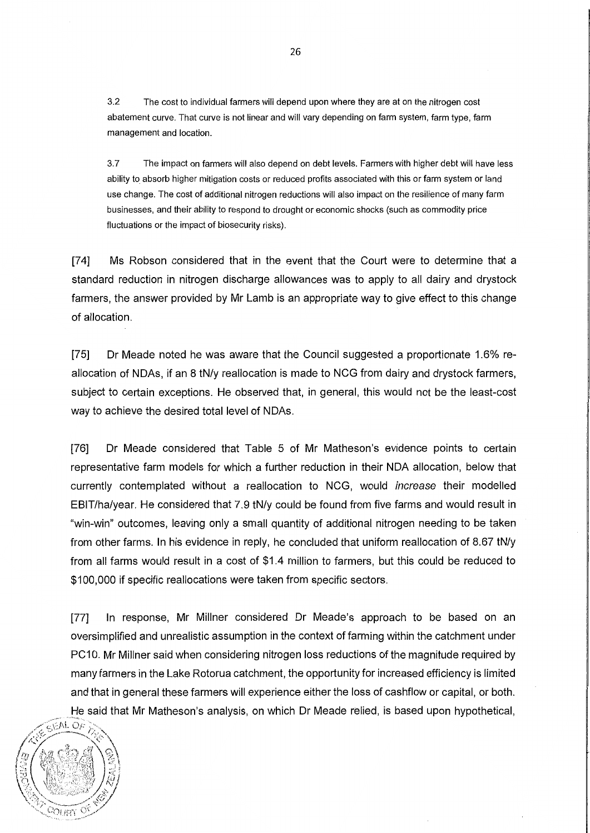3.2 The cost to individual farmers will depend upon where they are at on the nitrogen cost abatement curve. That curve is not linear and will vary depending on farm system, farm type, farm management and location.

3.7 The impact on farmers will also depend on debt levels. Farmers with higher debt will have less ability to absorb higher mitigation costs or reduced profits associated with this or farm system or land use change. The cost of additional nitrogen reductions will also impact on the resilience of many farm businesses, and their ability to respond to drought or economic shocks (such as commodity price fluctuations or the impact of biosecurity risks).

[74] Ms Robson considered that in the event that the Court were to determine that a standard reduction in nitrogen discharge allowances was to apply to all dairy and drystock farmers, the answer provided by Mr Lamb is an appropriate way to give effect to this change of allocation.

[75] Dr Meade noted he was aware that the Council suggested a proportionate 1.6% reallocation of NDAs, if an 8 tN/y reallocation is made to NCG from dairy and drystock farmers, subject to certain exceptions. He observed that, in general, this would not be the least-cost way to achieve the desired total level of NDAs.

[76] Dr Meade considered that Table 5 of Mr Matheson's evidence points to certain representative farm models for which a further reduction in their NOA allocation, below that currently contemplated without a reallocation to NCG, would increase their modelled EBIT/ha/year. He considered that 7.9 tN/y could be found from five farms and would result in "win-win" outcomes, leaving only a small quantity of additional nitrogen needing to be taken from other farms. In his evidence in reply, he concluded that uniform reallocation of 8.67 tN/y from all farms would result in a cost of \$1 .4 million to farmers, but this could be reduced to \$100,000 if specific reallocations were taken from specific sectors.

[77] In response, Mr Millner considered Dr Meade's approach to be based on an oversimplified and unrealistic assumption in the context of farming within the catchment under PC 10. Mr Millner said when considering nitrogen loss reductions of the magnitude required by many farmers in the Lake Rotorua catchment, the opportunity for increased efficiency is limited and that in general these farmers will experience either the loss of cashflow or capital, or both. He said that Mr Matheson's analysis, on which Dr Meade relied, is based upon hypothetical,

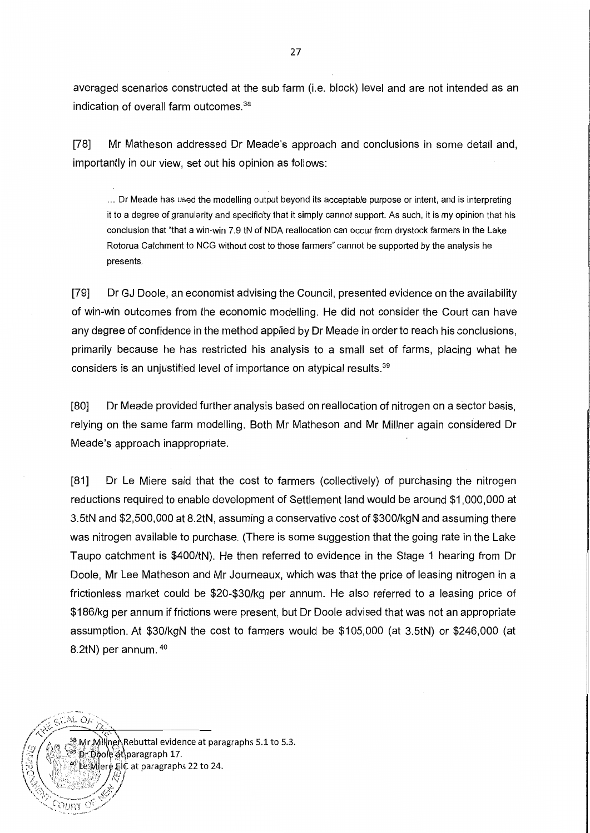averaged scenarios constructed at the sub farm (i.e. block) level and are not intended as an indication of overall farm outcomes. <sup>38</sup>

[78] Mr Matheson addressed Dr Meade's approach and conclusions in some detail and, importantly in our view, set out his opinion as follows:

... Dr Meade has used the modelling output beyond its acceptable purpose or intent, and is interpreting it to a degree of granularity and specificity that it simply cannot support. As such, it is my opinion that his conclusion that "that a win-win 7.9 tN of NOA reallocation can occur from drystock farmers in the Lake Rotorua Catchment to NCG without cost to those farmers" cannot be supported by the analysis he presents.

[79] Dr GJ Doole, an economist advising the Council, presented evidence on the availability of win-win outcomes from the economic modelling. He did not consider the Court can have any degree of confidence in the method applied by Dr Meade in order to reach his conclusions, primarily because he has restricted his analysis to a small set of farms, placing what he considers is an unjustified level of importance on atypical results. <sup>39</sup>

[80] Dr Meade provided further analysis based on reallocation of nitrogen on a sector basis, relying on the same farm modelling. Both Mr Matheson and Mr Millner again considered Dr Meade's approach inappropriate.

[81] Dr Le Miere said that the cost to farmers (collectively) of purchasing the nitrogen reductions required to enable development of Settlement land would be around \$1,000,000 at 3.StN and \$2,500,000 at 8.2tN, assuming a conservative cost of \$300/kgN and assuming there was nitrogen available to purchase. (There is some suggestion that the going rate in the Lake Taupo catchment is \$400/tN). He then referred to evidence in the Stage 1 hearing from Dr Doole, Mr Lee Matheson and Mr Journeaux, which was that the price of leasing nitrogen in a frictionless market could be \$20-\$30/kg per annum. He also referred to a leasing price of \$186/kg per annum if frictions were present, but Dr Doole advised that was not an appropriate assumption. At \$30/kgN the cost to farmers would be \$105,000 (at 3.StN) or \$246,000 (at 8.2tN) per annum. 40



 $G/M$  Of

 $C_{\text{URT}}$  of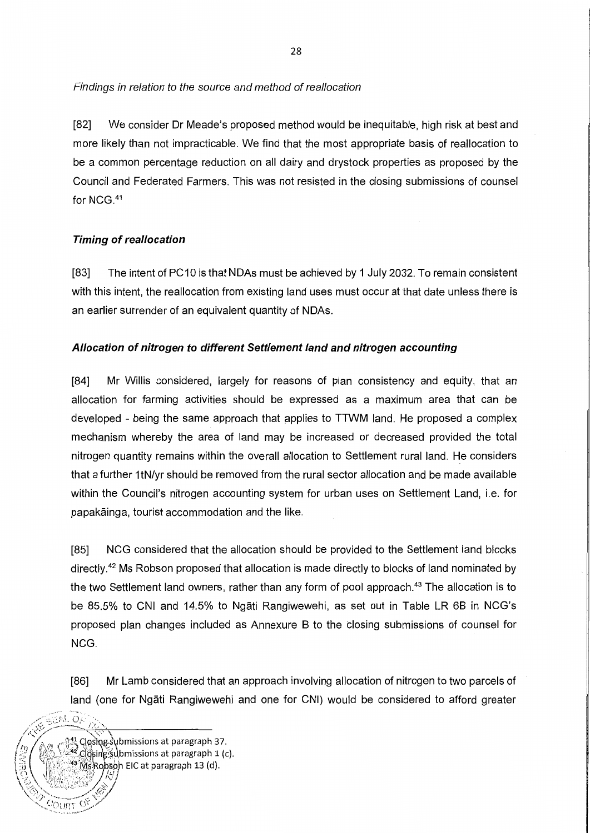Findings in relation to the source and method of reallocation

[82] We consider Dr Meade's proposed method would be inequitable, high risk at best and more likely than not impracticable. We find that the most appropriate basis of reallocation to be a common percentage reduction on all dairy and drystock properties as proposed by the Council and Federated Farmers. This was not resisted in the closing submissions of counsel for NCG. <sup>41</sup>

# **Timing of reallocation**

GEAL OA

7mUC-

Closing submissions at paragraph 37. Closing's ubmissions at paragraph 1 (c). Robson EIC at paragraph 13 (d).

[83] The intent of PC10 is that NDAs must be achieved by 1 July 2032. To remain consistent with this intent, the reallocation from existing land uses must occur at that date unless there is an earlier surrender of an equivalent quantity of NDAs.

# **Allocation of nitrogen to different Settlement land and nitrogen accounting**

[84] Mr Willis considered, largely for reasons of plan consistency and equity, that an allocation for farming activities should be expressed as a maximum area that can be developed - being the same approach that applies to TTWM land. He proposed a complex mechanism whereby the area of land may be increased or decreased provided the total nitrogen quantity remains within the overall allocation to Settlement rural land. He considers that a further 1 tN/yr should be removed from the rural sector allocation and be made available within the Council's nitrogen accounting system for urban uses on Settlement Land, i.e. for papakainga, tourist accommodation and the like.

[85] NCG considered that the allocation should be provided to the Settlement land blocks directly.<sup>42</sup> Ms Robson proposed that allocation is made directly to blocks of land nominated by the two Settlement land owners, rather than any form of pool approach. 43 The allocation is to be 85.5% to CNI and 14.5% to Ngati Rangiwewehi, as set out in Table LR 6B in NCG's proposed plan changes included as Annexure B to the closing submissions of counsel for NCG.

[86] Mr Lamb considered that an approach involving allocation of nitrogen to two parcels of land (one for Ngati Rangiwewehi and one for CNI) would be considered to afford greater

**28**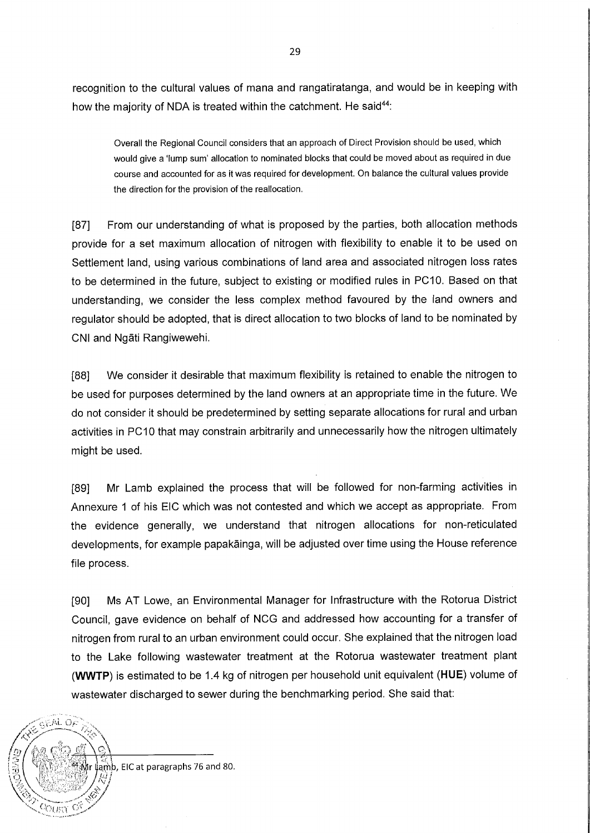recognition to the cultural values of mana and rangatiratanga, and would be in keeping with how the majority of NDA is treated within the catchment. He said<sup>44</sup>:

Overall the Regional Council considers that an approach of Direct Provision should be used, which would give a 'lump sum' allocation to nominated blocks that could be moved about as required in due course and accounted for as it was required for development. On balance the cultural values provide the direction for the provision of the reallocation.

[87] From our understanding of what is proposed by the parties, both allocation methods provide for a set maximum allocation of nitrogen with flexibility to enable it to be used on Settlement land, using various combinations of land area and associated nitrogen loss rates to be determined in the future, subject to existing or modified rules in PC10. Based on that understanding, we consider the less complex method favoured by the land owners and regulator should be adopted, that is direct allocation to two blocks of land to be nominated by CNI and Ngati Rangiwewehi.

[88] We consider it desirable that maximum flexibility is retained to enable the nitrogen to be used for purposes determined by the land owners at an appropriate time in the future. We do not consider it should be predetermined by setting separate allocations for rural and urban activities in PC10 that may constrain arbitrarily and unnecessarily how the nitrogen ultimately might be used.

[89] Mr Lamb explained the process that will be followed for non-farming activities in Annexure 1 of his EiC which was not contested and which we accept as appropriate. From the evidence generally, we understand that nitrogen allocations for non-reticulated developments, for example papakainga, will be adjusted over time using the House reference file process.

[90] Ms AT Lowe, an Environmental Manager for Infrastructure with the Rotorua District Council, gave evidence on behalf of NCG and addressed how accounting for a transfer of nitrogen from rural to an urban environment could occur. She explained that the nitrogen load to the Lake following wastewater treatment at the Rotorua wastewater treatment plant **(WWTP)** is estimated to be 1.4 kg of nitrogen per household unit equivalent **(HUE)** volume of wastewater discharged to sewer during the benchmarking period. She said that:

lamb, EIC at paragraphs 76 and 80.

 $65M$  OF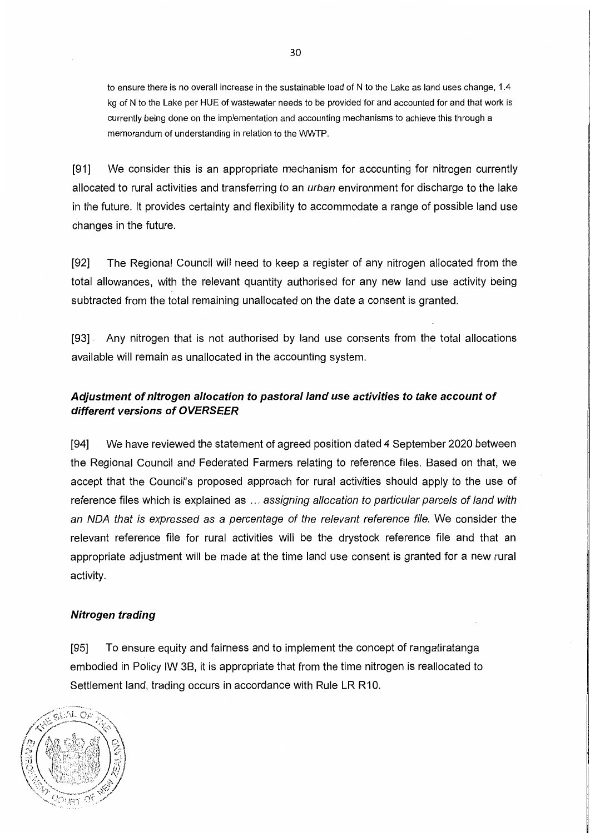to ensure there is no overall increase in the sustainable load of N to the Lake as land uses change, 1.4 kg of N to the Lake per HUE of wastewater needs to be provided for and accounted for and that work is currently being done on the implementation and accounting mechanisms to achieve this through a memorandum of understanding in relation to the WWTP.

[91] We consider this is an appropriate mechanism for accounting for nitrogen currently allocated to rural activities and transferring to an *urban* environment for discharge to the lake in the future. It provides certainty and flexibility to accommodate a range of possible land use changes in the future.

[92] The Regional Council will need to keep a register of any nitrogen allocated from the total allowances, with the relevant quantity authorised for any new land use activity being subtracted from the total remaining unallocated on the date a consent is granted.

[93] . Any nitrogen that is not authorised by land use consents from the total allocations available will remain as unallocated in the accounting system.

# **Adjustment of nitrogen allocation to pastoral land use activities to take account of different versions of OVERSEER**

[94] We have reviewed the statement of agreed position dated 4 September 2020 between the Regional Council and Federated Farmers relating to reference files. Based on that, we accept that the Council's proposed approach for rural activities should apply to the use of reference files which is explained as ... assigning allocation to particular parcels of land with an NOA that is expressed as a percentage of the relevant reference file. We consider the relevant reference file for rural activities will be the drystock reference file and that an appropriate adjustment will be made at the time land use consent is granted for a new rural activity.

### **Nitrogen trading**

[95] To ensure equity and fairness and to implement the concept of rangatiratanga embodied in Policy IW 38, it is appropriate that from the time nitrogen is reallocated to Settlement land, trading occurs in accordance with Rule LR R10.

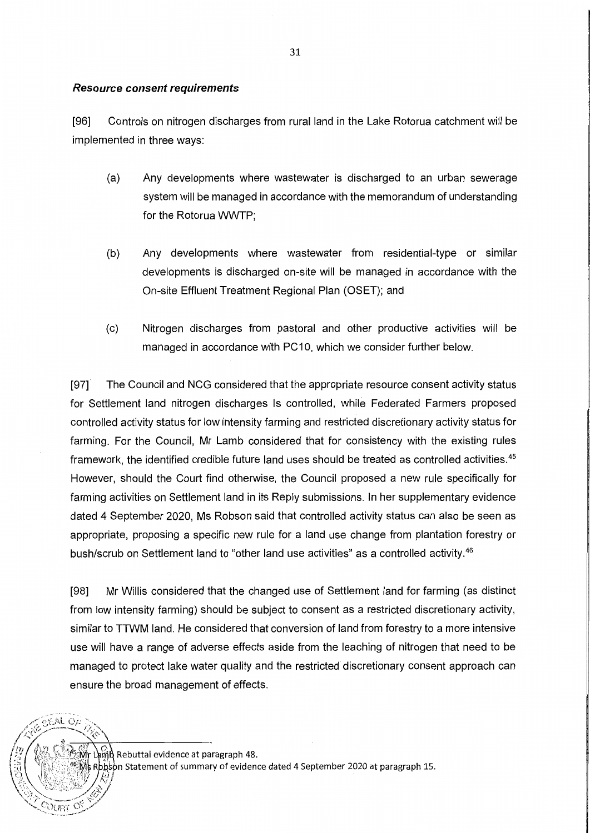### **Resource consent requirements**

[96] Controls on nitrogen discharges from rural land in the Lake Rotorua catchment will be implemented in three ways:

- (a) Any developments where wastewater is discharged to an urban sewerage system will be managed in accordance with the memorandum of understanding for the Rotorua WWTP;
- (b) Any developments where wastewater from residential-type or similar developments is discharged on-site will be managed in accordance with the On-site Effluent Treatment Regional Plan (OSET); and
- (c) Nitrogen discharges from pastoral and other productive activities will be managed in accordance with PC10, which we consider further below.

[97] · The Council and NCG considered that the appropriate resource consent activity status for Settlement land nitrogen discharges Is controlled, while Federated Farmers proposed controlled activity status for low intensity farming and restricted discretionary activity status for farming. For the Council, Mr Lamb considered that for consistency with the existing rules framework, the identified credible future land uses should be treated as controlled activities. <sup>45</sup> However, should the Court find otherwise, the Council proposed a new rule specifically for farming activities on Settlement land in its Reply submissions. In her supplementary evidence dated 4 September 2020, Ms Robson said that controlled activity status can also be seen as appropriate, proposing a specific new rule for a land use change from plantation forestry or bush/scrub on Settlement land to "other land use activities" as a controlled activity.<sup>46</sup>

[98] Mr Willis considered that the changed use of Settlement land for farming (as distinct from low intensity farming) should be subject to consent as a restricted discretionary activity, similar to TTWM land. He considered that conversion of land from forestry to a more intensive use will have a range of adverse effects aside from the leaching of nitrogen that need to be managed to protect lake water quality and the restricted discretionary consent approach can ensure the broad management of effects.

ြုပြ<br>မြို့ပြ Rebuttal evidence at paragraph 48.

 $O(\sqrt{RT})$ 

Rbbson Statement of summary of evidence dated 4 September 2020 at paragraph 15.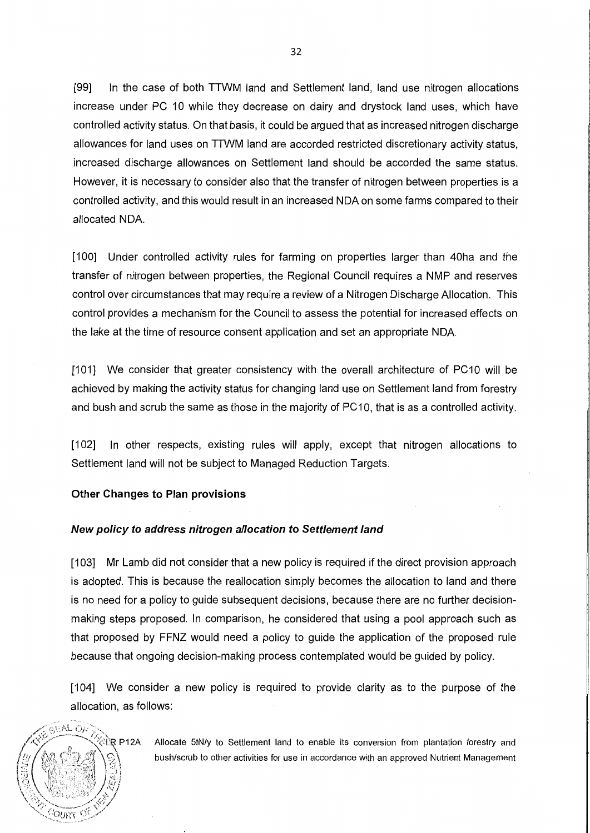[99] In the case of both TTWM land and Settlement land, land use nitrogen allocations increase under PC 10 while they decrease on dairy and drystock land uses, which have controlled activity status. On that basis, it could be argued that as increased nitrogen discharge allowances for land uses on TTWM land are accorded restricted discretionary activity status, increased discharge allowances on Settlement land should be accorded the same status. However, it is necessary to consider also that the transfer of nitrogen between properties is a controlled activity, and this would result in an increased NOA on some farms compared to their allocated NOA.

[100] Under controlled activity rules for farming on properties larger than 40ha and the transfer of nitrogen between properties, the Regional Council requires a NMP and reserves control over circumstances that may require a review of a Nitrogen Discharge Allocation. This control provides a mechanism for the Council to assess the potential for increased effects on the lake at the time of resource consent application and set an appropriate NOA.

[101] We consider that greater consistency with the overall architecture of PC10 will be achieved by making the activity status for changing land use on Settlement land from forestry and bush and scrub the same as those in the majority of PC10, that is as a controlled activity.

[102] In other respects, existing rules will apply, except that nitrogen allocations to Settlement land will not be subject to Managed Reduction Targets.

### **Other Changes to Plan provisions**

### **New policy to address nitrogen allocation to Settlement land**

[103] Mr Lamb did not consider that a new policy is required if the direct provision approach is adopted. This is because the reallocation simply becomes the allocation to land and there is no need for a policy to guide subsequent decisions, because there are no further decisionmaking steps proposed. In comparison, he considered that using a pool approach such as that proposed by FFNZ would need a policy to guide the application of the proposed rule because that ongoing decision-making process contemplated would be guided by policy.

[104] We consider a new policy is required to provide clarity as to the purpose of the allocation, as follows:

 $_{\odot}$ r:AL  $_{\odot}$ j: ~~:1!;!~{jfl)

ेंLेR P12A Allocate 5tN/y to Settlement land to enable its conversion from plantation forestry and<br>∖ ွ bush/scrub to other activities for use in accordance with an approved Nutrient Manage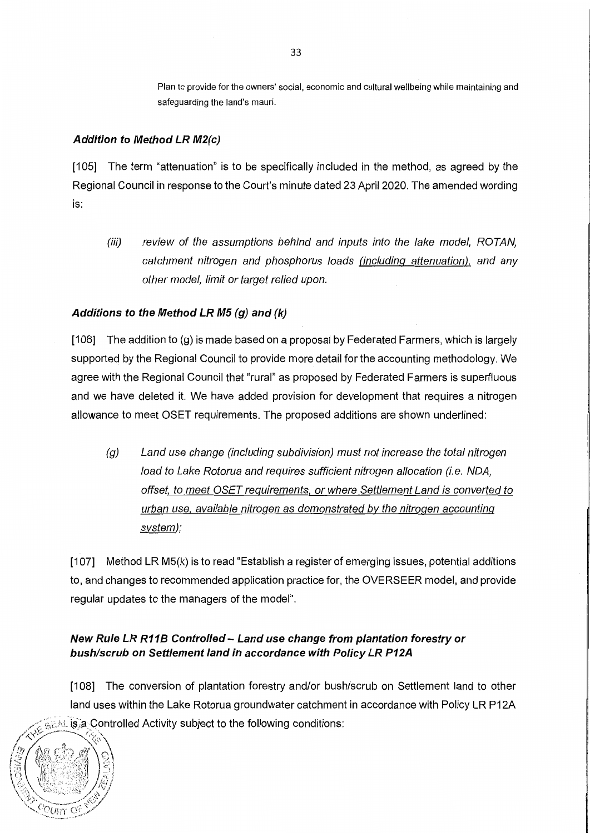Plan to provide for the owners' social, economic and cultural wellbeing while maintaining and safeguarding the land's mauri.

### **Addition to Method LR M2(c)**

[105] The term "attenuation" is to be specifically included in the method, as agreed by the Regional Council in response to the Court's minute dated 23 April 2020. The amended wording is:

(iii) review of the assumptions behind and inputs into the lake model, ROTAN, catchment nitrogen and phosphorus loads (including attenuation). and any other model, limit or target relied upon.

### **Additions to the Method LR M5 (g) and (k)**

 $[106]$  The addition to  $(g)$  is made based on a proposal by Federated Farmers, which is largely supported by the Regional Council to provide more detail for the accounting methodology. We agree with the Regional Council that "rural" as proposed by Federated Farmers is superfluous and we have deleted it. We have added provision for development that requires a nitrogen allowance to meet OSET requirements. The proposed additions are shown underlined:

(g) Land use change (including subdivision) must not increase the total nitrogen load to Lake Rotorua and requires sufficient nitrogen allocation (i.e. NDA, offset. to meet OSET requirements. or where Settlement Land is converted to urban use. available nitrogen as demonstrated by the nitrogen accounting system);

[107] Method LR M5(k) is to read "Establish a register of emerging issues, potential additions to, and changes to recommended application practice for, the OVERSEER model, and provide regular updates to the managers of the model".

## **New Rule LR R11 B Controlled - Land use change from plantation forestry or bush/scrub on Settlement land in accordance with Policy LR P12A**

[108] The conversion of plantation forestry and/or bush/scrub on Settlement land to other land uses within the Lake Rotorua groundwater catchment in accordance with Policy LR P12A GEAL is a Controlled Activity subject to the following conditions:

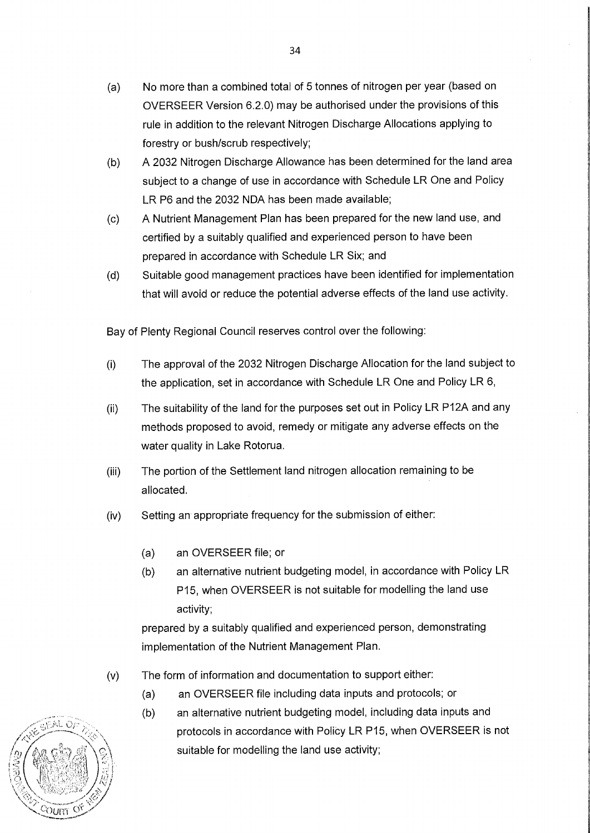- (a) No more than a combined total of 5 tonnes of nitrogen per year (based on OVERSEER Version 6.2.0) may be authorised under the provisions of this rule in addition to the relevant Nitrogen Discharge Allocations applying to forestry or bush/scrub respectively;
- (b) A 2032 Nitrogen Discharge Allowance has been determined for the land area subject to a change of use in accordance with Schedule LR One and Policy LR P6 and the 2032 NOA has been made available;
- (c) A Nutrient Management Plan has been prepared for the new land use, and certified by a suitably qualified and experienced person to have been prepared in accordance with Schedule LR Six; and
- (d) Suitable good management practices have been identified for implementation that will avoid or reduce the potential adverse effects of the land use activity.

Bay of Plenty Regional Council reserves control over the following:

- (i) The approval of the 2032 Nitrogen Discharge Allocation for the land subject to the application, set in accordance with Schedule LR One and Policy LR 6,
- (ii) The suitability of the land for the purposes set out in Policy LR P12A and any methods proposed to avoid, remedy or mitigate any adverse effects on the water quality in Lake Rotorua.
- (iii) The portion of the Settlement land nitrogen allocation remaining to be allocated.
- (iv) Setting an appropriate frequency for the submission of either:
	- (a) an OVERSEER file; or
	- (b) an alternative nutrient budgeting model, in accordance with Policy LR P15, when OVERSEER is not suitable for modelling the land use activity;

prepared by a suitably qualified and experienced person, demonstrating implementation of the Nutrient Management Plan.

- (v) The form of information and documentation to support either:
	- (a) an OVERSEER file including data inputs and protocols; or
	- (b) an alternative nutrient budgeting model, including data inputs and protocols in accordance with Policy LR P15, when OVERSEER is not suitable for modelling the land use activity;

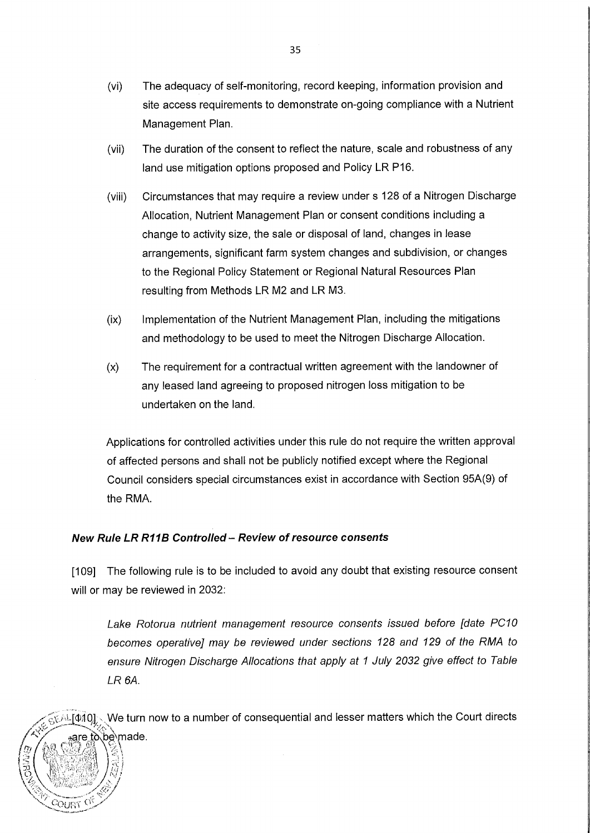- (vi) The adequacy of self-monitoring, record keeping, information provision and site access requirements to demonstrate on-going compliance with a Nutrient Management Plan.
- (vii) The duration of the consent to reflect the nature, scale and robustness of any land use mitigation options proposed and Policy LR P16.
- (viii) Circumstances that may require a review under s 128 of a Nitrogen Discharge Allocation, Nutrient Management Plan or consent conditions including a change to activity size, the sale or disposal of land, changes in lease arrangements, significant farm system changes and subdivision, or changes to the Regional Policy Statement or Regional Natural Resources Plan resulting from Methods LR M2 and LR M3.
- (ix) Implementation of the Nutrient Management Plan, including the mitigations and methodology to be used to meet the Nitrogen Discharge Allocation.
- (x) The requirement for a contractual written agreement with the landowner of any leased land agreeing to proposed nitrogen loss mitigation to be undertaken on the land.

Applications for controlled activities under this rule do not require the written approval of affected persons and shall not be publicly notified except where the Regional Council considers special circumstances exist in accordance with Section 95A(9) of the RMA.

### **New Rule LR R11B Controlled - Review of resource consents**

COURT

[109] The following rule is to be included to avoid any doubt that existing resource consent will or may be reviewed in 2032:

Lake Rotorua nutrient management resource consents issued before [date PC10 becomes operative] may be reviewed under sections 128 and 129 of the RMA to ensure Nitrogen Discharge A/locations that apply at 1 July 2032 give effect to Table LR 6A.

We turn now to a number of consequential and lesser matters which the Court directs AL[010] . are tò∖be`made.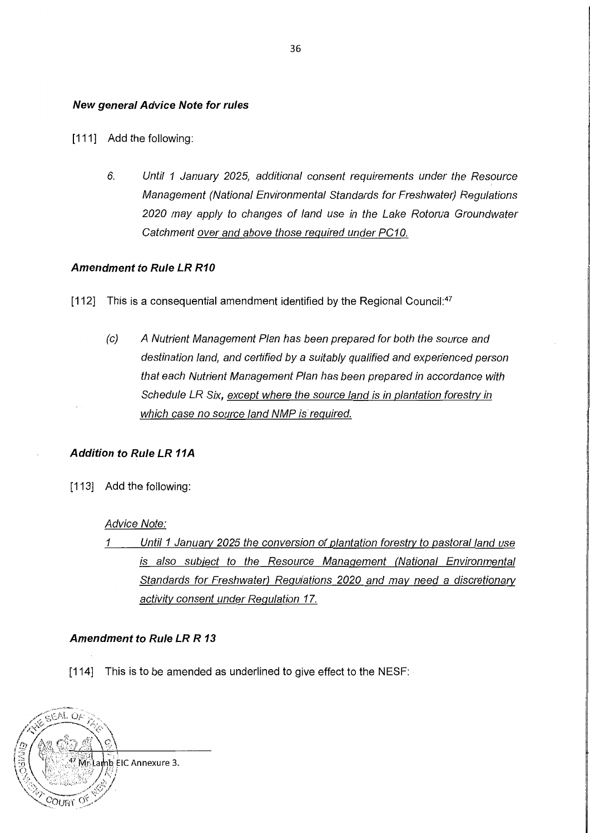### **New general Advice Note for rules**

- [111] Add the following:
	- 6. Until 1 January 2025, additional consent requirements under the Resource Management (National Environmental Standards for Freshwater) Regulations 2020 may apply to changes of land use in the Lake Rotorua Groundwater Catchment over and above those required under PC10.

### **Amendment to Rule LR R10**

[112] This is a consequential amendment identified by the Regional Council: $47$ 

(c) A Nutrient Management Plan has been prepared for both the source and destination land, and certified by a suitably qualified and experienced person that each Nutrient Management Plan has been prepared in accordance with Schedule LR Six, except where the source land is in plantation forestry in which case no source land NMP is required.

### **Addition to Rule LR 11A**

[113] Add the following:

### Advice Note:

1 Until 1 January 2025 the conversion of plantation forestry to pastoral land use is also subiect to the Resource Management (National Environmental Standards for Freshwater) Regulations 2020 and mav need a discretionary activity consent under Regulation 17.

### **Amendment to Rule LR R 13**

[114] This is to be amended as underlined to give effect to the NESF:

GEAL O าb EIC Annexure 3.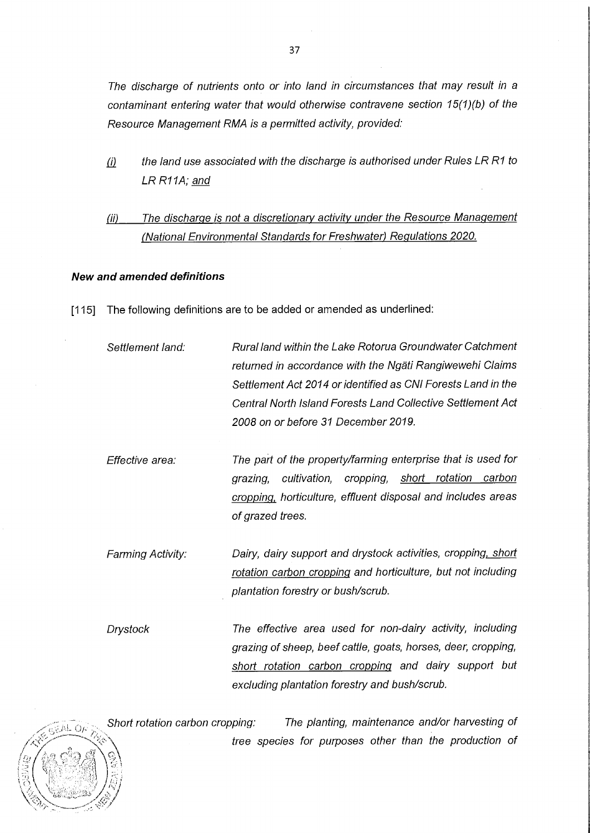The discharge of nutrients onto or into land in circumstances that may result in a contaminant entering water that would otherwise contravene section 15(1)(b) of the Resource Management RMA is a permitted activity, provided:

- $(i)$  the land use associated with the discharge is authorised under Rules LR R1 to LR R11A; and
- (ii) The discharge is not a discretionary activity under the Resource Management (National Environmental Standards for Freshwater) Regulations 2020.

### **New and amended definitions**

 $ALOC$ 

- [115] The following definitions are to be added or amended as underlined:
	- Settlement land: Rural land within the Lake Rotorua Groundwater Catchment returned in accordance with the Ngati Rangiwewehi Claims Settlement Act 2014 or identified as CNI Forests Land in the Central North Island Forests Land Collective Settlement Act 2008 on or before 31 December 2019.
	- Effective area: The part of the property/farming enterprise that is used for grazing, cultivation, cropping, short rotation carbon cropping, horticulture, effluent disposal and includes areas of grazed trees.
	- Farming Activity: Dairy, dairy support and drystock activities, cropping, short rotation carbon cropping and horticulture, but not including plantation forestry or bush/scrub.

Drystock The effective area used for non-dairy activity, including grazing of sheep, beef cattle, goats, horses, deer, cropping, short rotation carbon cropping and dairy support but excluding plantation forestry and bush/scrub.

The planting, maintenance and/or harvesting of Short rotation carbon cropping: tree species for purposes other than the production of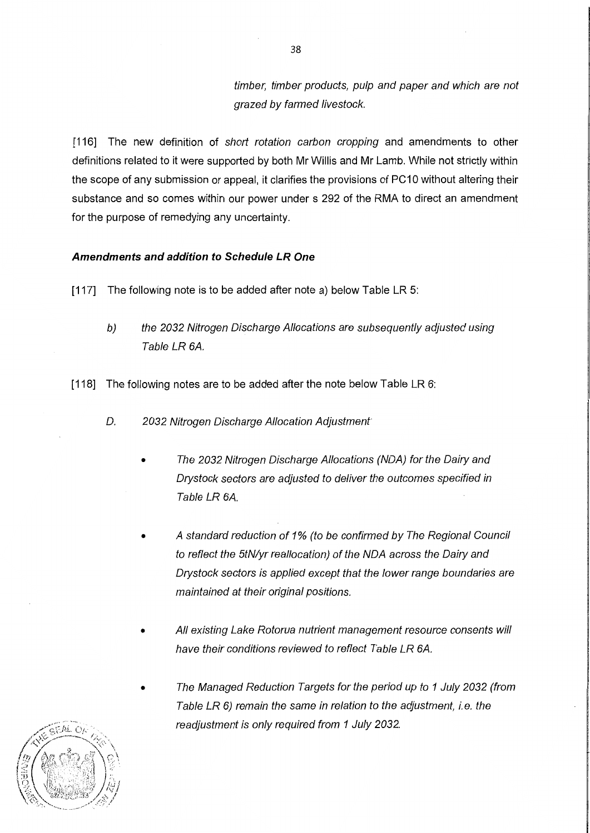timber, timber products, pulp and paper and which are not grazed by farmed livestock.

[116] The new definition of short rotation carbon cropping and amendments to other definitions related to it were supported by both Mr Willis and Mr Lamb. While not strictly within the scope of any submission or appeal, it clarifies the provisions of PC10 without altering their substance and so comes within our power under s 292 of the RMA to direct an amendment for the purpose of remedying any uncertainty.

### **Amendments and addition to Schedule LR One**

- [117] The following note is to be added after note a) below Table LR 5:
	- b) the 2032 Nitrogen Discharge A/locations are subsequently adjusted using Table LR 6A.
- [118] The following notes are to be added after the note below Table LR 6:
	- D. 2032 Nitrogen Discharge Allocation Adjustment
		- The 2032 Nitrogen Discharge Allocations (NDA) for the Dairy and Drystock sectors are adjusted to deliver the outcomes specified in Table LR 6A.
		- A standard reduction of 1% (to be confirmed by The Regional Council to reflect the 5tN/yr reallocation) of the NOA across the Dairy and Drystock sectors is applied except that the lower range boundaries are maintained at their original positions.
		- All existing Lake Rotorua nutrient management resource consents will have their conditions reviewed to reflect Table LR 6A.
		- The Managed Reduction Targets for the period up to 1 July 2032 (from Table LR 6) remain the same in relation to the adjustment, i.e. the readjustment is only required from 1 July 2032.

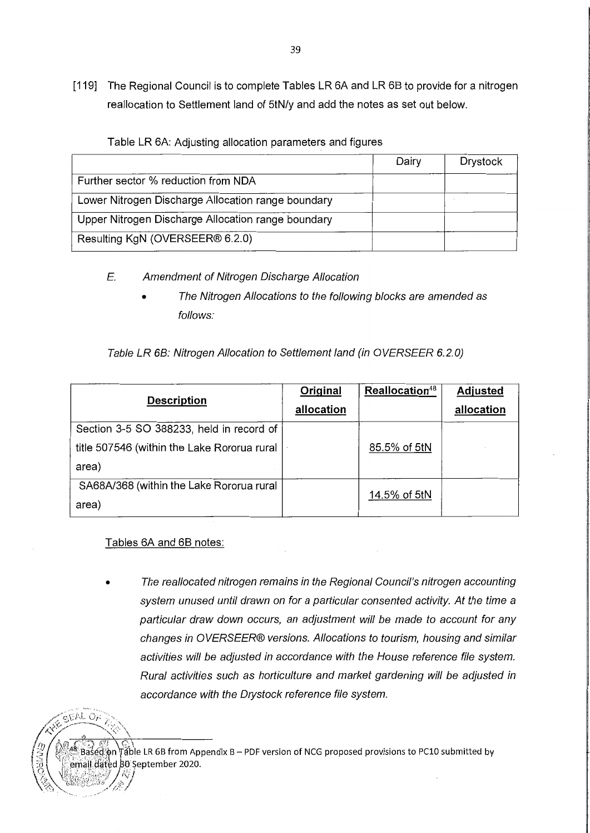[119] The Regional Council is to complete Tables LR 6A and LR 6B to provide for a nitrogen reallocation to Settlement land of 5tN/y and add the notes as set out below.

|                                                    | Dairy | <b>Drystock</b> |
|----------------------------------------------------|-------|-----------------|
| Further sector % reduction from NDA                |       |                 |
| Lower Nitrogen Discharge Allocation range boundary |       |                 |
| Upper Nitrogen Discharge Allocation range boundary |       |                 |
| Resulting KgN (OVERSEER® 6.2.0)                    |       |                 |

Table LR 6A: Adjusting allocation parameters and figures

- E. Amendment of Nitrogen Discharge Allocation
	- The Nitrogen Allocations to the following blocks are amended as follows:

Table LR 68: Nitrogen A/location to Settlement land (in OVERSEER 6.2.0)

| <b>Description</b>                          | Original<br>allocation | Reallocation <sup>48</sup> | <b>Adjusted</b><br>allocation |
|---------------------------------------------|------------------------|----------------------------|-------------------------------|
| Section 3-5 SO 388233, held in record of    |                        |                            |                               |
| title 507546 (within the Lake Rororua rural |                        | 85.5% of 5tN               |                               |
| area)                                       |                        |                            |                               |
| SA68A/368 (within the Lake Rororua rural    |                        | 14.5% of 5tN               |                               |
| area)                                       |                        |                            |                               |

### Tables 6A and 68 notes:

 $GFALOF$ 

• The reallocated nitrogen remains in the Regional Council's nitrogen accounting system unused until drawn on for a particular consented activity. At the time a particular draw down occurs, an adjustment will be made to account for any changes in OVERSEER® versions. A/locations to tourism, housing and similar activities will be adjusted in accordance with the House reference file system. Rural activities such as horticulture and market gardening will be adjusted in accordance with the Drystock reference file system.

 $^{48}$  Based on Table LR 6B from Appendix B – PDF version of NCG proposed provisions to PC10 submitted by email dated 80 September 2020.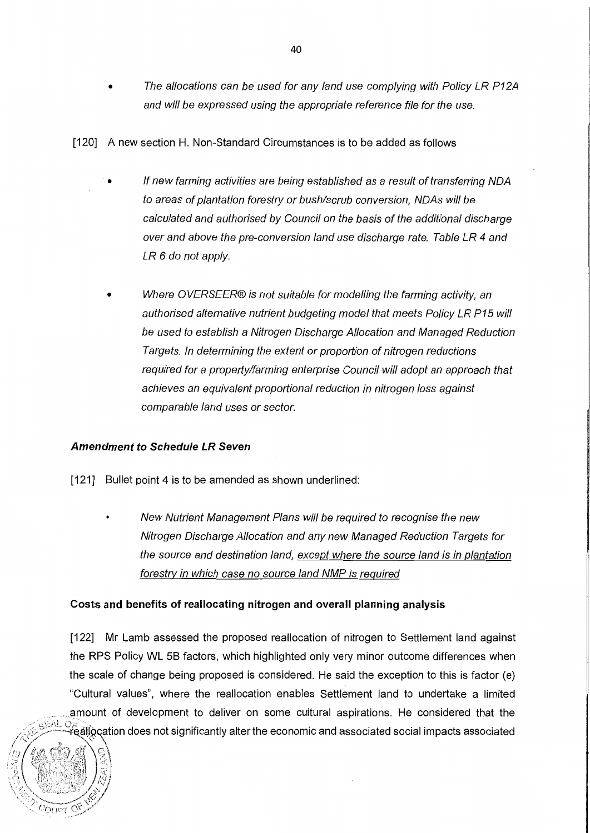- The allocations can be used for any land use complying with Policy LR P12A and will be expressed using the appropriate reference file for the use.
- [120] A new section H. Non-Standard Circumstances is to be added as follows
	- If new farming activities are being established as a result of transferring NOA to areas of plantation forestry or bush/scrub conversion, NOAs will be calculated and authorised by Council on the basis of the additional discharge over and above the pre-conversion land use discharge rate. Table LR 4 and LR 6 do not apply.
	- Where OVERSEER® is not suitable for modelling the farming activity, an authorised alternative nutrient budgeting model that meets Policy LR P15 will be used to establish a Nitrogen Discharge Allocation and Managed Reduction Targets. In determining the extent or proportion of nitrogen reductions required for a property/farming enterprise Council will adopt an approach that achieves an equivalent proportional reduction in nitrogen loss against comparable land uses or sector.

### **Amendment to Schedule LR Seven**

- [121] Bullet point 4 is to be amended as shown underlined:
	- New Nutrient Management Plans will be required to recognise the new Nitrogen Discharge A/location and any new Managed Reduction Targets for the source and destination land, except where the source land is in plantation forestry in which case no source land NMP is required

### **Costs and benefits of reallocating nitrogen and overall planning analysis**

[122] Mr Lamb assessed the proposed reallocation of nitrogen to Settlement land against the RPS Policy WL 5B factors, which highlighted only very minor outcome differences when the scale of change being proposed is considered. He said the exception to this is factor (e) "Cultural values", where the reallocation enables Settlement land to undertake a limited . amount of development to deliver on some cultural aspirations. He considered that the  $/$  *c* EAL OF  $\sim$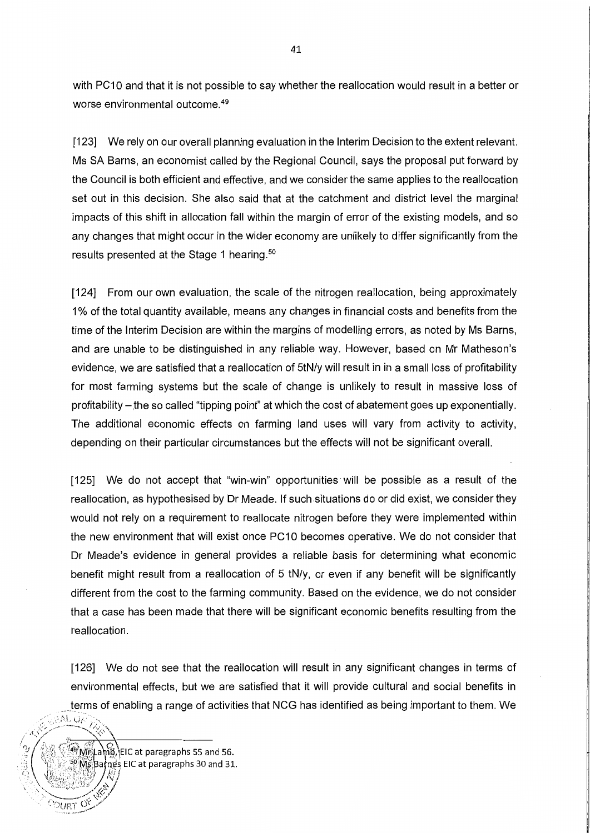with PC10 and that it is not possible to say whether the reallocation would result in a better or worse environmental outcome. <sup>49</sup>

[123] We rely on our overall planning evaluation in the Interim Decision to the extent relevant. Ms SA Barns, an economist called by the Regional Council, says the proposal put forward by the Council is both efficient and effective, and we consider the same applies to the reallocation set out in this decision. She also said that at the catchment and district level the marginal impacts of this shift in allocation fall within the margin of error of the existing models, and so any changes that might occur in the wider economy are unlikely to differ significantly from the results presented at the Stage 1 hearing.<sup>50</sup>

[124] From our own evaluation, the scale of the nitrogen reallocation, being approximately 1 % of the total quantity available, means any changes in financial costs and benefits from the time of the Interim Decision are within the margins of modelling errors, as noted by Ms Barns, and are unable to be distinguished in any reliable way. However, based on Mr Matheson's evidence, we are satisfied that a reallocation of StN/y will result in in a small loss of profitability for most farming systems but the scale of change is unlikely to result in massive loss of profitability-the so called "tipping point" at which the cost of abatement goes up exponentially. The additional economic effects on farming land uses will vary from activity to activity, depending on their particular circumstances but the effects will not be significant overall.

[125] We do not accept that "win-win" opportunities will be possible as a result of the reallocation, as hypothesised by Dr Meade. If such situations do or did exist, we consider they would not rely on a requirement to reallocate nitrogen before they were implemented within the new environment that will exist once PC10 becomes operative. We do not consider that Dr Meade's evidence in general provides a reliable basis for determining what economic benefit might result from a reallocation of 5 tN/y, or even if any benefit will be significantly different from the cost to the farming community. Based on the evidence, we do not consider that a case has been made that there will be significant economic benefits resulting from the reallocation.

[126] We do not see that the reallocation will result in any significant changes in terms of environmental effects, but we are satisfied that it will provide cultural and social benefits in terms of enabling a range of activities that NCG has identified as being important to them. We

 $\sqrt{\frac{1}{N}}$ 

 $\frac{2}{3} \int \frac{\sqrt{2}}{2} \frac{\sqrt{2}}{2} \sinh \frac{\pi}{2} \ln \frac{1}{2}$  ,  $\ln \ln \frac{1}{2}$  and 56.

Batnes EIC at paragraphs 30 and 31.

.

 $\frac{1}{2}$ 1

\*\*\*\*\*\*\*\*\*\*\*\*\*\*\*\*/

 $\rho_{\text{URT}}$  or